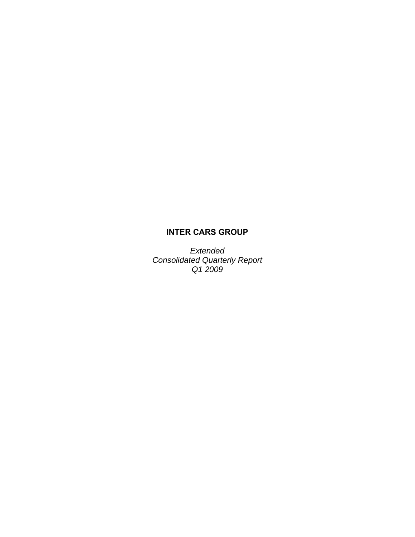# **INTER CARS GROUP**

*Extended Consolidated Quarterly Report Q1 2009*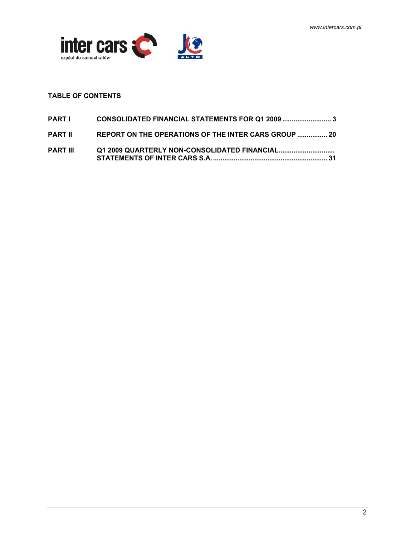

## **TABLE OF CONTENTS**

| PARTI           | CONSOLIDATED FINANCIAL STATEMENTS FOR Q1 2009 3      |
|-----------------|------------------------------------------------------|
| <b>PART II</b>  | REPORT ON THE OPERATIONS OF THE INTER CARS GROUP  20 |
| <b>PART III</b> |                                                      |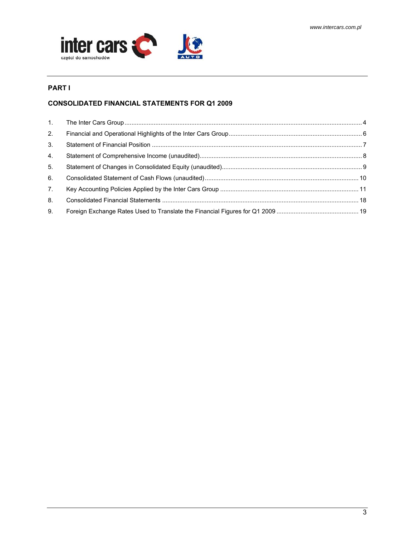

## **PART I**

## **CONSOLIDATED FINANCIAL STATEMENTS FOR Q1 2009**

| 1.             |  |
|----------------|--|
| 2.             |  |
| 3 <sub>1</sub> |  |
| 4.             |  |
| 5 <sub>1</sub> |  |
| 6.             |  |
| 7 <sub>1</sub> |  |
| 8.             |  |
| 9.             |  |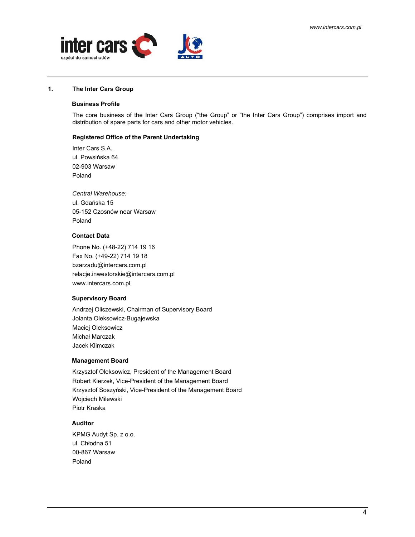<span id="page-3-0"></span>

#### **1. The Inter Cars Group**

### **Business Profile**

The core business of the Inter Cars Group ("the Group" or "the Inter Cars Group") comprises import and distribution of spare parts for cars and other motor vehicles.

#### **Registered Office of the Parent Undertaking**

Inter Cars S.A. ul. Powsińska 64 02-903 Warsaw Poland

*Central Warehouse:*  ul. Gdańska 15 05-152 Czosnów near Warsaw Poland

## **Contact Data**

Phone No. (+48-22) 714 19 16 Fax No. (+49-22) 714 19 18 bzarzadu@intercars.com.pl relacje.inwestorskie@intercars.com.pl www.intercars.com.pl

#### **Supervisory Board**

Andrzej Oliszewski, Chairman of Supervisory Board Jolanta Oleksowicz-Bugajewska Maciej Oleksowicz Michał Marczak Jacek Klimczak

#### **Management Board**

Krzysztof Oleksowicz, President of the Management Board Robert Kierzek, Vice-President of the Management Board Krzysztof Soszyński, Vice-President of the Management Board Wojciech Milewski Piotr Kraska

#### **Auditor**

KPMG Audyt Sp. z o.o. ul. Chłodna 51 00-867 Warsaw Poland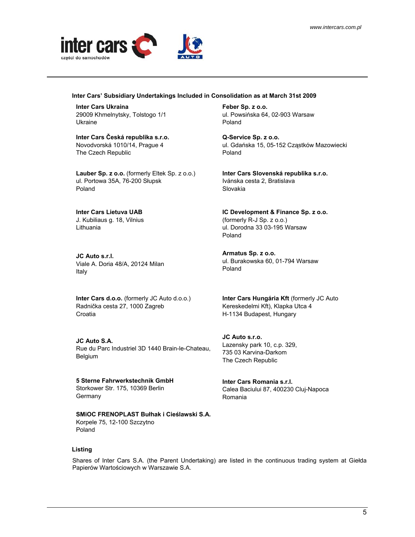

#### **Inter Cars' Subsidiary Undertakings Included in Consolidation as at March 31st 2009**

**Inter Cars Ukraina**  29009 Khmelnytsky, Tolstogo 1/1 Ukraine

**Inter Cars Česká republika s.r.o.** Novodvorská 1010/14, Prague 4 The Czech Republic

**Lauber Sp. z o.o.** (formerly Eltek Sp. z o.o.) ul. Portowa 35A, 76-200 Słupsk Poland

**Inter Cars Lietuva UAB** J. Kubiliaus g. 18, Vilnius Lithuania

**JC Auto s.r.l.**  Viale A. Doria 48/A, 20124 Milan Italy

**Inter Cars d.o.o.** (formerly JC Auto d.o.o.) Radnička cesta 27, 1000 Zagreb **Croatia** 

**JC Auto S.A.**  Rue du Parc Industriel 3D 1440 Brain-le-Chateau, Belgium

**5 Sterne Fahrwerkstechnik GmbH**  Storkower Str. 175, 10369 Berlin **Germany** 

**SMiOC FRENOPLAST Bułhak i Cieślawski S.A.**  Korpele 75, 12-100 Szczytno Poland

**Feber Sp. z o.o.** ul. Powsińska 64, 02-903 Warsaw Poland

**Q-Service Sp. z o.o.** ul. Gdańska 15, 05-152 Cząstków Mazowiecki Poland

**Inter Cars Slovenská republika s.r.o.**  Ivánska cesta 2, Bratislava Slovakia

**IC Development & Finance Sp. z o.o.**  (formerly R-J Sp. z o.o.) ul. Dorodna 33 03-195 Warsaw Poland

**Armatus Sp. z o.o.**  ul. Burakowska 60, 01-794 Warsaw Poland

**Inter Cars Hungária Kft** (formerly JC Auto Kereskedelmi Kft), Klapka Utca 4 H-1134 Budapest, Hungary

**JC Auto s.r.o.**  Lazensky park 10, c.p. 329, 735 03 Karvina-Darkom The Czech Republic

**Inter Cars Romania s.r.l.**  Calea Baciului 87, 400230 Cluj-Napoca Romania

### **Listing**

Shares of Inter Cars S.A. (the Parent Undertaking) are listed in the continuous trading system at Giełda Papierów Wartościowych w Warszawie S.A.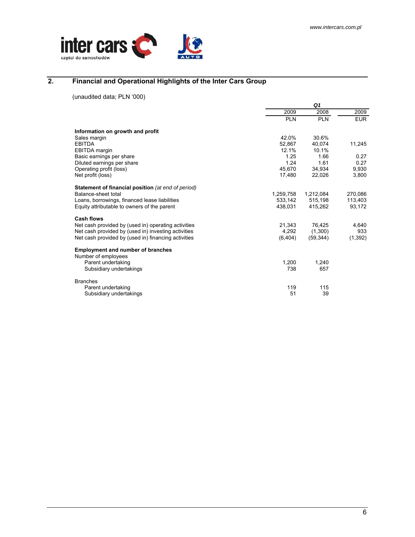<span id="page-5-0"></span>

## **2. Financial and Operational Highlights of the Inter Cars Group**

(unaudited data; PLN '000)

|                                                                 | Q <sub>1</sub> |            |            |
|-----------------------------------------------------------------|----------------|------------|------------|
|                                                                 | 2009           | 2008       | 2009       |
|                                                                 | <b>PLN</b>     | <b>PLN</b> | <b>EUR</b> |
| Information on growth and profit                                |                |            |            |
| Sales margin                                                    | 42.0%          | 30.6%      |            |
| <b>EBITDA</b>                                                   | 52.867         | 40.074     | 11,245     |
| <b>EBITDA</b> margin                                            | 12.1%          | 10.1%      |            |
| Basic earnings per share                                        | 1.25           | 1.66       | 0.27       |
| Diluted earnings per share                                      | 1 24           | 1.61       | 0.27       |
| Operating profit (loss)                                         | 45,670         | 34,934     | 9,930      |
| Net profit (loss)                                               | 17,480         | 22.026     | 3,800      |
| Statement of financial position (at end of period)              |                |            |            |
| Balance-sheet total                                             | 1,259,758      | 1,212,084  | 270,086    |
| Loans, borrowings, financed lease liabilities                   | 533,142        | 515,198    | 113,403    |
| Equity attributable to owners of the parent                     | 438.031        | 415.262    | 93.172     |
| <b>Cash flows</b>                                               |                |            |            |
| Net cash provided by (used in) operating activities             | 21,343         | 76,425     | 4.640      |
| Net cash provided by (used in) investing activities             | 4.292          | (1,300)    | 933        |
| Net cash provided by (used in) financing activities             | (6, 404)       | (59, 344)  | (1, 392)   |
| <b>Employment and number of branches</b><br>Number of employees |                |            |            |
| Parent undertaking                                              | 1,200          | 1.240      |            |
| Subsidiary undertakings                                         | 738            | 657        |            |
| <b>Branches</b>                                                 |                |            |            |
| Parent undertaking                                              | 119            | 115        |            |
| Subsidiary undertakings                                         | 51             | 39         |            |
|                                                                 |                |            |            |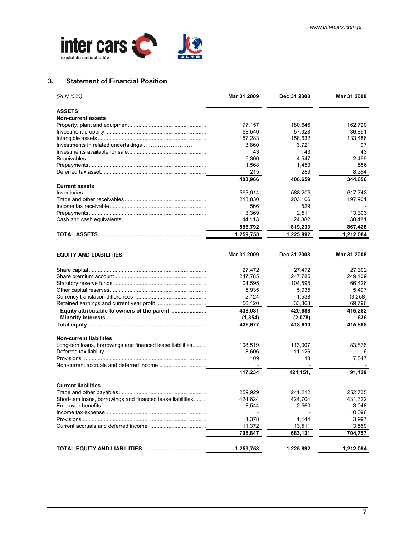<span id="page-6-0"></span>

## **3. Statement of Financial Position**

| (PLN '000)                          | Mar 31 2009 | Dec 31 2008 | Mar 31 2008 |
|-------------------------------------|-------------|-------------|-------------|
| <b>ASSETS</b>                       |             |             |             |
| <b>Non-current assets</b>           |             |             |             |
|                                     | 177,157     | 180.646     | 162,720     |
|                                     | 58.540      | 57.328      | 36.891      |
|                                     | 157,283     | 158,632     | 133,486     |
| Investments in related undertakings | 3,860       | 3.721       | 97          |
|                                     | 43          | 43          | 43          |
|                                     | 5,300       | 4.547       | 2.499       |
|                                     | 1,568       | 1.453       | 556         |
|                                     | 215         | 289         | 8.364       |
|                                     | 403,966     | 406,659     | 344,656     |
| <b>Current assets</b>               |             |             |             |
|                                     | 593.914     | 588.205     | 617.743     |
|                                     | 213.830     | 203.106     | 197.901     |
|                                     | 566         | 529         |             |
|                                     | 3.369       | 2,511       | 13,303      |
|                                     | 44,113      | 24,882      | 38,481      |
|                                     | 855,792     | 819,233     | 867,428     |
|                                     | 1,259,758   | 1,225,892   | 1,212,084   |

| <b>EQUITY AND LIABILITIES</b>                              | Mar 31 2009 | Dec 31 2008 | Mar 31 2008 |
|------------------------------------------------------------|-------------|-------------|-------------|
|                                                            | 27,472      | 27,472      | 27,392      |
|                                                            | 247,785     | 247,785     | 249,409     |
|                                                            | 104,595     | 104,595     | 66,426      |
|                                                            | 5,935       | 5,935       | 5,497       |
|                                                            | 2,124       | 1,538       | (3,258)     |
|                                                            | 50.120      | 33,363      | 69,796      |
| Equity attributable to owners of the parent                | 438,031     | 420,688     | 415,262     |
|                                                            | (1, 354)    | (2,078)     | 636         |
|                                                            | 436,677     | 418,610     | 415,898     |
| <b>Non-current liabilities</b>                             |             |             |             |
| Long-tem loans, borrowings and financed lease liabilities  | 108,519     | 113,007     | 83,876      |
|                                                            | 8,606       | 11.126      |             |
|                                                            | 109         | 18          | 7,547       |
|                                                            |             |             |             |
|                                                            | 117,234     | 124,151,    | 91,429      |
| <b>Current liabilities</b>                                 |             |             |             |
|                                                            | 259,929     | 241,212     | 252,735     |
| Short-tem loans, borrowings and financed lease liabilities | 424,624     | 424,704     | 431,322     |
|                                                            | 8,544       | 2,560       | 3.048       |
|                                                            |             |             | 10,096      |
|                                                            | 1,378       | 1,144       | 3,997       |
|                                                            | 11,372      | 13,511      | 3,559       |
|                                                            | 705,847     | 683,131     | 704,757     |
|                                                            | 1,259,758   | 1,225,892   | 1,212,084   |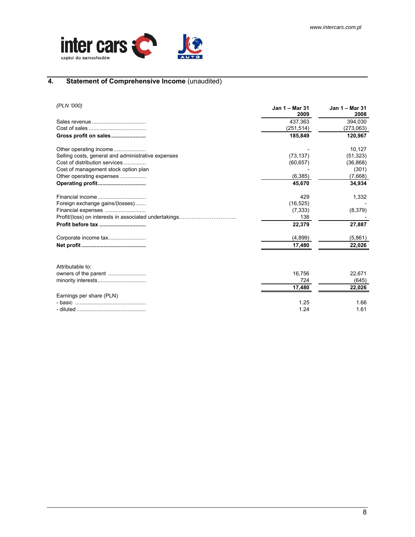<span id="page-7-0"></span>

## **4. Statement of Comprehensive Income** (unaudited)

| (PLN '000)                                            | Jan 1 – Mar 31<br>2009 | Jan 1 - Mar 31<br>2008 |
|-------------------------------------------------------|------------------------|------------------------|
|                                                       | 437.363                | 394.030                |
|                                                       | (251, 514)             | (273,063)              |
| Gross profit on sales                                 | 185,849                | 120,967                |
| Other operating income                                |                        | 10,127                 |
| Selling costs, general and administrative expenses    | (73, 137)              | (51, 323)              |
| Cost of distribution services                         | (60, 657)              | (36, 868)              |
| Cost of management stock option plan                  |                        | (301)                  |
| Other operating expenses                              | (6, 385)               | (7,668)                |
|                                                       | 45,670                 | 34,934                 |
|                                                       | 429                    | 1,332                  |
| Foreign exchange gains/(losses)                       | (16, 525)              |                        |
| Financial expenses                                    | (7, 333)               | (8,379)                |
| Profit/(loss) on interests in associated undertakings | 138                    |                        |
| Profit before tax                                     | 22,379                 | 27,887                 |
| Corporate income tax                                  | (4,899)                | (5,861)                |
|                                                       | 17,480                 | 22,026                 |
| Attributable to:                                      |                        |                        |
| owners of the parent                                  | 16,756                 | 22,671                 |
|                                                       | 724                    | (645)                  |
|                                                       | 17,480                 | 22,026                 |
| Earnings per share (PLN)                              |                        |                        |
|                                                       | 1.25                   | 1.66                   |
|                                                       | 1.24                   | 1.61                   |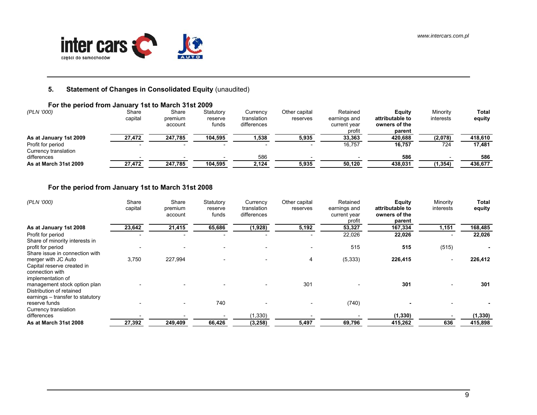

#### **5.Statement of Changes in Consolidated Equity (unaudited)**

## **For the period from January 1st to March 31st 2009**

| (PLN '000)                                | Share<br>capital | Share<br>premium<br>account | Statutory<br>reserve<br>funds | Currencv<br>translation<br>differences | Other capital<br>reserves | Retained<br>earnings and<br>current year<br>profit | Eauity<br>attributable to<br>owners of the<br>parent | Minority<br>interests | Total<br>equity |
|-------------------------------------------|------------------|-----------------------------|-------------------------------|----------------------------------------|---------------------------|----------------------------------------------------|------------------------------------------------------|-----------------------|-----------------|
| As at January 1st 2009                    | 27,472           | 247,785                     | 104,595                       | 1,538                                  | 5,935                     | 33,363                                             | 420,688                                              | (2,078)               | 418.610         |
| Profit for period<br>Currency translation |                  |                             |                               |                                        |                           | 16.757                                             | 16.757                                               | 724                   | 17,481          |
| differences                               |                  |                             |                               | 586                                    |                           |                                                    | 586                                                  |                       | 586             |
| As at March 31st 2009                     | 27,472           | 247,785                     | 104,595                       | 2,124                                  | 5,935                     | 50,120                                             | 438,031                                              | (1, 354)              | 436,677         |

## **For the period from January 1st to March 31st 2008**

<span id="page-8-0"></span>

| (PLN '000)                                                                                   | Share<br>capital | Share<br>premium<br>account | Statutory<br>reserve<br>funds | Currency<br>translation<br>differences | Other capital<br>reserves | Retained<br>earnings and<br>current year<br>profit | Equity<br>attributable to<br>owners of the<br>parent | Minority<br>interests    | Total<br>equity |
|----------------------------------------------------------------------------------------------|------------------|-----------------------------|-------------------------------|----------------------------------------|---------------------------|----------------------------------------------------|------------------------------------------------------|--------------------------|-----------------|
| As at January 1st 2008                                                                       | 23,642           | 21,415                      | 65,686                        | (1,928)                                | 5,192                     | 53,327                                             | 167,334                                              | 1,151                    | 168,485         |
| Profit for period<br>Share of minority interests in                                          |                  |                             |                               |                                        |                           | 22,026                                             | 22,026                                               |                          | 22,026          |
| profit for period<br>Share issue in connection with                                          |                  |                             |                               |                                        |                           | 515                                                | 515                                                  | (515)                    |                 |
| merger with JC Auto<br>Capital reserve created in<br>connection with<br>implementation of    | 3,750            | 227,994                     |                               | $\overline{\phantom{0}}$               | 4                         | (5, 333)                                           | 226,415                                              | $\overline{\phantom{a}}$ | 226,412         |
| management stock option plan<br>Distribution of retained<br>earnings - transfer to statutory |                  |                             |                               | $\overline{\phantom{0}}$               | 301                       |                                                    | 301                                                  |                          | 301             |
| reserve funds<br>Currency translation                                                        |                  |                             | 740                           |                                        |                           | (740)                                              |                                                      |                          |                 |
| differences                                                                                  |                  |                             |                               | (1, 330)                               |                           |                                                    | (1, 330)                                             |                          | (1, 330)        |
| As at March 31st 2008                                                                        | 27,392           | 249,409                     | 66,426                        | (3, 258)                               | 5,497                     | 69,796                                             | 415,262                                              | 636                      | 415,898         |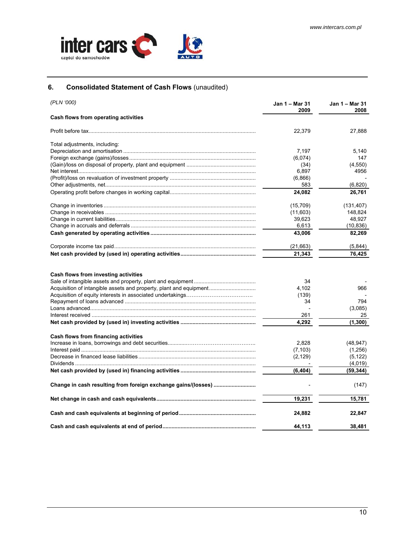<span id="page-9-0"></span>

## **6. Consolidated Statement of Cash Flows** (unaudited)

| (PLN '000)                                                                                                 | Jan 1 – Mar 31<br>2009     | Jan 1 – Mar 31<br>2008 |
|------------------------------------------------------------------------------------------------------------|----------------------------|------------------------|
| Cash flows from operating activities                                                                       |                            |                        |
|                                                                                                            | 22,379                     | 27,888                 |
| Total adjustments, including:                                                                              |                            |                        |
|                                                                                                            | 7,197                      | 5.140                  |
|                                                                                                            | (6,074)                    | 147                    |
|                                                                                                            | (34)                       | (4,550)                |
|                                                                                                            | 6,897                      | 4956                   |
|                                                                                                            | (6,866)                    |                        |
|                                                                                                            | 583                        | (6,820)                |
|                                                                                                            | 24,082                     | 26,761                 |
|                                                                                                            | (15, 709)                  | (131, 407)             |
|                                                                                                            | (11,603)                   | 148,824                |
|                                                                                                            | 39,623                     | 48,927                 |
|                                                                                                            | 6,613                      | (10, 836)              |
|                                                                                                            | 43,006                     | 82,269                 |
|                                                                                                            | (21,663)                   | (5, 844)               |
|                                                                                                            | 21,343                     | 76,425                 |
| Cash flows from investing activities<br>Acquisition of intangible assets and property, plant and equipment | 34<br>4,102<br>(139)<br>34 | 966<br>794<br>(3,085)  |
|                                                                                                            | 261                        | 25                     |
|                                                                                                            | 4,292                      | (1, 300)               |
| Cash flows from financing activities                                                                       |                            |                        |
|                                                                                                            | 2,828                      | (48, 947)              |
|                                                                                                            | (7, 103)                   | (1,256)                |
|                                                                                                            | (2, 129)                   | (5, 122)               |
|                                                                                                            |                            | (4,019)                |
|                                                                                                            | (6, 404)                   | (59, 344)              |
| Change in cash resulting from foreign exchange gains/(losses)                                              |                            | (147)                  |
|                                                                                                            | 19,231                     | 15,781                 |
|                                                                                                            | 24,882                     | 22,847                 |
|                                                                                                            | 44.113                     | 38.481                 |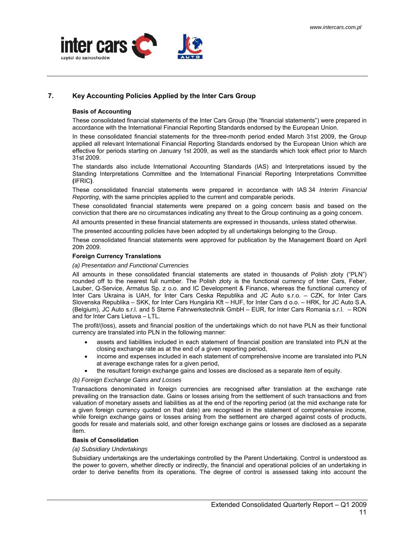<span id="page-10-0"></span>

## **7. Key Accounting Policies Applied by the Inter Cars Group**

#### **Basis of Accounting**

These consolidated financial statements of the Inter Cars Group (the "financial statements") were prepared in accordance with the International Financial Reporting Standards endorsed by the European Union.

In these consolidated financial statements for the three-month period ended March 31st 2009, the Group applied all relevant International Financial Reporting Standards endorsed by the European Union which are effective for periods starting on January 1st 2009, as well as the standards which took effect prior to March 31st 2009.

The standards also include International Accounting Standards (IAS) and Interpretations issued by the Standing Interpretations Committee and the International Financial Reporting Interpretations Committee **(**IFRIC**)**.

These consolidated financial statements were prepared in accordance with IAS 34 *Interim Financial Reporting*, with the same principles applied to the current and comparable periods.

These consolidated financial statements were prepared on a going concern basis and based on the conviction that there are no circumstances indicating any threat to the Group continuing as a going concern.

All amounts presented in these financial statements are expressed in thousands, unless stated otherwise.

The presented accounting policies have been adopted by all undertakings belonging to the Group.

These consolidated financial statements were approved for publication by the Management Board on April 20th 2009.

#### **Foreign Currency Translations**

#### *(a) Presentation and Functional Currencies*

All amounts in these consolidated financial statements are stated in thousands of Polish złoty ("PLN") rounded off to the nearest full number. The Polish złoty is the functional currency of Inter Cars, Feber, Lauber, Q-Service, Armatus Sp. z o.o. and IC Development & Finance, whereas the functional currency of Inter Cars Ukraina is UAH, for Inter Cars Ceska Republika and JC Auto s.r.o. – CZK, for Inter Cars Slovenska Republika – SKK, for Inter Cars Hungária Kft – HUF, for Inter Cars d o.o. – HRK, for JC Auto S.A. (Belgium), JC Auto s.r.l. and 5 Sterne Fahrwerkstechnik GmbH – EUR, for Inter Cars Romania s.r.l. – RON and for Inter Cars Lietuva – LTL.

The profit/(loss), assets and financial position of the undertakings which do not have PLN as their functional currency are translated into PLN in the following manner:

- assets and liabilities included in each statement of financial position are translated into PLN at the closing exchange rate as at the end of a given reporting period,
- income and expenses included in each statement of comprehensive income are translated into PLN at average exchange rates for a given period,
- the resultant foreign exchange gains and losses are disclosed as a separate item of equity.

#### *(b) Foreign Exchange Gains and Losses*

Transactions denominated in foreign currencies are recognised after translation at the exchange rate prevailing on the transaction date. Gains or losses arising from the settlement of such transactions and from valuation of monetary assets and liabilities as at the end of the reporting period (at the mid exchange rate for a given foreign currency quoted on that date) are recognised in the statement of comprehensive income, while foreign exchange gains or losses arising from the settlement are charged against costs of products, goods for resale and materials sold, and other foreign exchange gains or losses are disclosed as a separate item.

#### **Basis of Consolidation**

## *(a) Subsidiary Undertakings*

Subsidiary undertakings are the undertakings controlled by the Parent Undertaking. Control is understood as the power to govern, whether directly or indirectly, the financial and operational policies of an undertaking in order to derive benefits from its operations. The degree of control is assessed taking into account the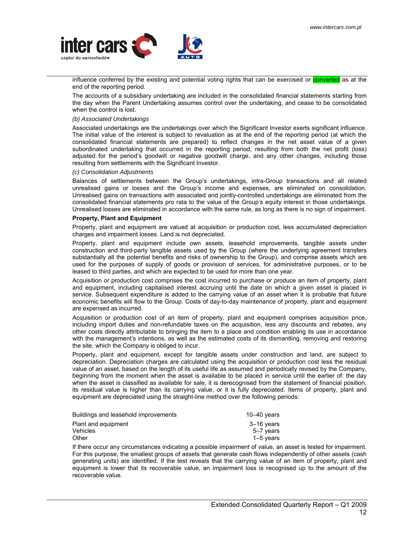

influence conferred by the existing and potential voting rights that can be exercised or **converted** as at the end of the reporting period.

The accounts of a subsidiary undertaking are included in the consolidated financial statements starting from the day when the Parent Undertaking assumes control over the undertaking, and cease to be consolidated when the control is lost.

#### *(b) Associated Undertakings*

Associated undertakings are the undertakings over which the Significant Investor exerts significant influence. The initial value of the interest is subject to revaluation as at the end of the reporting period (at which the consolidated financial statements are prepared) to reflect changes in the net asset value of a given subordinated undertaking that occurred in the reporting period, resulting from both the net profit (loss) adjusted for the period's goodwill or negative goodwill charge, and any other changes, including those resulting from settlements with the Significant Investor.

#### *(c) Consolidation Adjustments*

Balances of settlements between the Group's undertakings, intra-Group transactions and all related unrealised gains or losses and the Group's income and expenses, are eliminated on consolidation. Unrealised gains on transactions with associated and jointly-controlled undertakings are eliminated from the consolidated financial statements pro rata to the value of the Group's equity interest in those undertakings. Unrealised losses are eliminated in accordance with the same rule, as long as there is no sign of impairment.

#### **Property, Plant and Equipment**

Property, plant and equipment are valued at acquisition or production cost, less accumulated depreciation charges and impairment losses. Land is not depreciated.

Property, plant and equipment include own assets, leasehold improvements, tangible assets under construction and third-party tangible assets used by the Group (where the underlying agreement transfers substantially all the potential benefits and risks of ownership to the Group), and comprise assets which are used for the purposes of supply of goods or provision of services, for administrative purposes, or to be leased to third parties, and which are expected to be used for more than one year.

Acquisition or production cost comprises the cost incurred to purchase or produce an item of property, plant and equipment, including capitalised interest accruing until the date on which a given asset is placed in service. Subsequent expenditure is added to the carrying value of an asset when it is probable that future economic benefits will flow to the Group. Costs of day-to-day maintenance of property, plant and equipment are expensed as incurred.

Acquisition or production cost of an item of property, plant and equipment comprises acquisition price, including import duties and non-refundable taxes on the acquisition, less any discounts and rebates, any other costs directly attributable to bringing the item to a place and condition enabling its use in accordance with the management's intentions, as well as the estimated costs of its dismantling, removing and restoring the site, which the Company is obliged to incur.

Property, plant and equipment, except for tangible assets under construction and land, are subject to depreciation. Depreciation charges are calculated using the acquisition or production cost less the residual value of an asset, based on the length of its useful life as assumed and periodically revised by the Company, beginning from the moment when the asset is available to be placed in service until the earlier of: the day when the asset is classified as available for sale, it is derecognised from the statement of financial position, its residual value is higher than its carrying value, or it is fully depreciated. Items of property, plant and equipment are depreciated using the straight-line method over the following periods:

| Buildings and leasehold improvements | $10 - 40$ years |
|--------------------------------------|-----------------|
| Plant and equipment                  | 3–16 vears      |
| Vehicles                             | 5–7 years       |
| Other                                | $1-5$ years     |
|                                      |                 |

If there occur any circumstances indicating a possible impairment of value, an asset is tested for impairment. For this purpose, the smallest groups of assets that generate cash flows independently of other assets (cash generating units) are identified. If the test reveals that the carrying value of an item of property, plant and equipment is lower that its recoverable value, an impairment loss is recognised up to the amount of the recoverable value.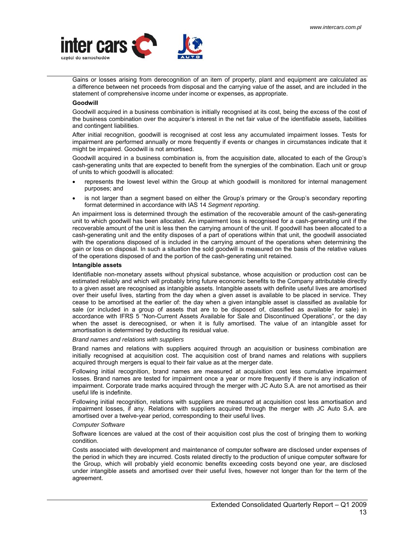

Gains or losses arising from derecognition of an item of property, plant and equipment are calculated as a difference between net proceeds from disposal and the carrying value of the asset, and are included in the statement of comprehensive income under income or expenses, as appropriate.

### **Goodwill**

Goodwill acquired in a business combination is initially recognised at its cost, being the excess of the cost of the business combination over the acquirer's interest in the net fair value of the identifiable assets, liabilities and contingent liabilities.

After initial recognition, goodwill is recognised at cost less any accumulated impairment losses. Tests for impairment are performed annually or more frequently if events or changes in circumstances indicate that it might be impaired. Goodwill is not amortised.

Goodwill acquired in a business combination is, from the acquisition date, allocated to each of the Group's cash-generating units that are expected to benefit from the synergies of the combination. Each unit or group of units to which goodwill is allocated:

- represents the lowest level within the Group at which goodwill is monitored for internal management purposes; and
- is not larger than a segment based on either the Group's primary or the Group's secondary reporting format determined in accordance with IAS 14 *Segment reporting*.

An impairment loss is determined through the estimation of the recoverable amount of the cash-generating unit to which goodwill has been allocated. An impairment loss is recognised for a cash-generating unit if the recoverable amount of the unit is less then the carrying amount of the unit. If goodwill has been allocated to a cash-generating unit and the entity disposes of a part of operations within that unit, the goodwill associated with the operations disposed of is included in the carrying amount of the operations when determining the gain or loss on disposal. In such a situation the sold goodwill is measured on the basis of the relative values of the operations disposed of and the portion of the cash-generating unit retained.

#### **Intangible assets**

Identifiable non-monetary assets without physical substance, whose acquisition or production cost can be estimated reliably and which will probably bring future economic benefits to the Company attributable directly to a given asset are recognised as intangible assets. Intangible assets with definite useful lives are amortised over their useful lives, starting from the day when a given asset is available to be placed in service. They cease to be amortised at the earlier of: the day when a given intangible asset is classified as available for sale (or included in a group of assets that are to be disposed of, classified as available for sale) in accordance with IFRS 5 "Non-Current Assets Available for Sale and Discontinued Operations", or the day when the asset is derecognised, or when it is fully amortised. The value of an intangible asset for amortisation is determined by deducting its residual value.

#### *Brand names and relations with suppliers*

Brand names and relations with suppliers acquired through an acquisition or business combination are initially recognised at acquisition cost. The acquisition cost of brand names and relations with suppliers acquired through mergers is equal to their fair value as at the merger date.

Following initial recognition, brand names are measured at acquisition cost less cumulative impairment losses. Brand names are tested for impairment once a year or more frequently if there is any indication of impairment. Corporate trade marks acquired through the merger with JC Auto S.A. are not amortised as their useful life is indefinite.

Following initial recognition, relations with suppliers are measured at acquisition cost less amortisation and impairment losses, if any. Relations with suppliers acquired through the merger with JC Auto S.A. are amortised over a twelve-year period, corresponding to their useful lives.

#### *Computer Software*

Software licences are valued at the cost of their acquisition cost plus the cost of bringing them to working condition.

Costs associated with development and maintenance of computer software are disclosed under expenses of the period in which they are incurred. Costs related directly to the production of unique computer software for the Group, which will probably yield economic benefits exceeding costs beyond one year, are disclosed under intangible assets and amortised over their useful lives, however not longer than for the term of the agreement.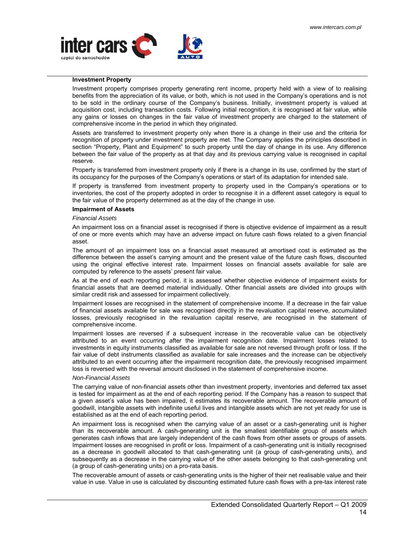

### **Investment Property**

Investment property comprises property generating rent income, property held with a view of to realising benefits from the appreciation of its value, or both, which is not used in the Company's operations and is not to be sold in the ordinary course of the Company's business. Initially, investment property is valued at acquisition cost, including transaction costs. Following initial recognition, it is recognised at fair value, while any gains or losses on changes in the fair value of investment property are charged to the statement of comprehensive income in the period in which they originated.

Assets are transferred to investment property only when there is a change in their use and the criteria for recognition of property under investment property are met. The Company applies the principles described in section "Property, Plant and Equipment" to such property until the day of change in its use. Any difference between the fair value of the property as at that day and its previous carrying value is recognised in capital reserve.

Property is transferred from investment property only if there is a change in its use, confirmed by the start of its occupancy for the purposes of the Company's operations or start of its adaptation for intended sale.

If property is transferred from investment property to property used in the Company's operations or to inventories, the cost of the property adopted in order to recognise it in a different asset category is equal to the fair value of the property determined as at the day of the change in use.

#### **Impairment of Assets**

#### *Financial Assets*

An impairment loss on a financial asset is recognised if there is objective evidence of impairment as a result of one or more events which may have an adverse impact on future cash flows related to a given financial asset.

The amount of an impairment loss on a financial asset measured at amortised cost is estimated as the difference between the asset's carrying amount and the present value of the future cash flows, discounted using the original effective interest rate. Impairment losses on financial assets available for sale are computed by reference to the assets' present fair value.

As at the end of each reporting period, it is assessed whether objective evidence of impairment exists for financial assets that are deemed material individually. Other financial assets are divided into groups with similar credit risk and assessed for impairment collectively.

Impairment losses are recognised in the statement of comprehensive income. If a decrease in the fair value of financial assets available for sale was recognised directly in the revaluation capital reserve, accumulated losses, previously recognised in the revaluation capital reserve, are recognised in the statement of comprehensive income.

Impairment losses are reversed if a subsequent increase in the recoverable value can be objectively attributed to an event occurring after the impairment recognition date. Impairment losses related to investments in equity instruments classified as available for sale are not reversed through profit or loss. If the fair value of debt instruments classified as available for sale increases and the increase can be objectively attributed to an event occurring after the impairment recognition date, the previously recognised impairment loss is reversed with the reversal amount disclosed in the statement of comprehensive income.

#### *Non-Financial Assets*

The carrying value of non-financial assets other than investment property, inventories and deferred tax asset is tested for impairment as at the end of each reporting period. If the Company has a reason to suspect that a given asset's value has been impaired, it estimates its recoverable amount. The recoverable amount of goodwill, intangible assets with indefinite useful lives and intangible assets which are not yet ready for use is established as at the end of each reporting period.

An impairment loss is recognised when the carrying value of an asset or a cash-generating unit is higher than its recoverable amount. A cash-generating unit is the smallest identifiable group of assets which generates cash inflows that are largely independent of the cash flows from other assets or groups of assets. Impairment losses are recognised in profit or loss. Impairment of a cash-generating unit is initially recognised as a decrease in goodwill allocated to that cash-generating unit (a group of cash-generating units), and subsequently as a decrease in the carrying value of the other assets belonging to that cash-generating unit (a group of cash-generating units) on a pro-rata basis.

The recoverable amount of assets or cash-generating units is the higher of their net realisable value and their value in use. Value in use is calculated by discounting estimated future cash flows with a pre-tax interest rate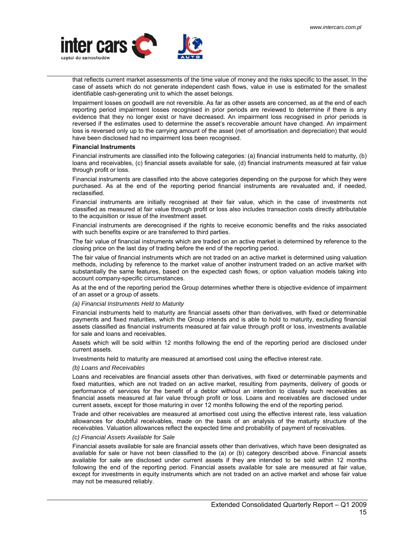

that reflects current market assessments of the time value of money and the risks specific to the asset. In the case of assets which do not generate independent cash flows, value in use is estimated for the smallest identifiable cash-generating unit to which the asset belongs.

Impairment losses on goodwill are not reversible. As far as other assets are concerned, as at the end of each reporting period impairment losses recognised in prior periods are reviewed to determine if there is any evidence that they no longer exist or have decreased. An impairment loss recognised in prior periods is reversed if the estimates used to determine the asset's recoverable amount have changed. An impairment loss is reversed only up to the carrying amount of the asset (net of amortisation and depreciation) that would have been disclosed had no impairment loss been recognised.

#### **Financial Instruments**

Financial instruments are classified into the following categories: (a) financial instruments held to maturity, (b) loans and receivables, (c) financial assets available for sale, (d) financial instruments measured at fair value through profit or loss.

Financial instruments are classified into the above categories depending on the purpose for which they were purchased. As at the end of the reporting period financial instruments are revaluated and, if needed, reclassified.

Financial instruments are initially recognised at their fair value, which in the case of investments not classified as measured at fair value through profit or loss also includes transaction costs directly attributable to the acquisition or issue of the investment asset.

Financial instruments are derecognised if the rights to receive economic benefits and the risks associated with such benefits expire or are transferred to third parties.

The fair value of financial instruments which are traded on an active market is determined by reference to the closing price on the last day of trading before the end of the reporting period.

The fair value of financial instruments which are not traded on an active market is determined using valuation methods, including by reference to the market value of another instrument traded on an active market with substantially the same features, based on the expected cash flows, or option valuation models taking into account company-specific circumstances.

As at the end of the reporting period the Group determines whether there is objective evidence of impairment of an asset or a group of assets.

#### *(a) Financial Instruments Held to Maturity*

Financial instruments held to maturity are financial assets other than derivatives, with fixed or determinable payments and fixed maturities, which the Group intends and is able to hold to maturity, excluding financial assets classified as financial instruments measured at fair value through profit or loss, investments available for sale and loans and receivables.

Assets which will be sold within 12 months following the end of the reporting period are disclosed under current assets.

Investments held to maturity are measured at amortised cost using the effective interest rate.

#### *(b) Loans and Receivables*

Loans and receivables are financial assets other than derivatives, with fixed or determinable payments and fixed maturities, which are not traded on an active market, resulting from payments, delivery of goods or performance of services for the benefit of a debtor without an intention to classify such receivables as financial assets measured at fair value through profit or loss. Loans and receivables are disclosed under current assets, except for those maturing in over 12 months following the end of the reporting period.

Trade and other receivables are measured at amortised cost using the effective interest rate, less valuation allowances for doubtful receivables, made on the basis of an analysis of the maturity structure of the receivables. Valuation allowances reflect the expected time and probability of payment of receivables.

#### *(c) Financial Assets Available for Sale*

Financial assets available for sale are financial assets other than derivatives, which have been designated as available for sale or have not been classified to the (a) or (b) category described above. Financial assets available for sale are disclosed under current assets if they are intended to be sold within 12 months following the end of the reporting period. Financial assets available for sale are measured at fair value, except for investments in equity instruments which are not traded on an active market and whose fair value may not be measured reliably.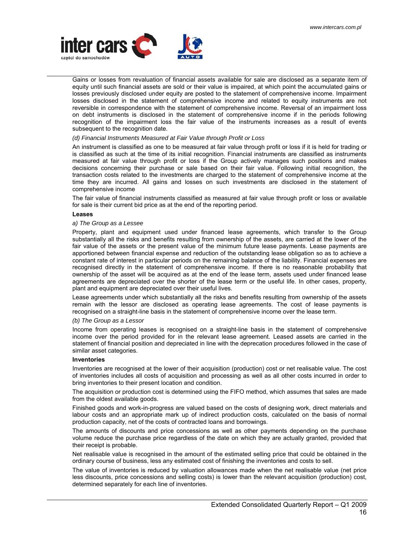

Gains or losses from revaluation of financial assets available for sale are disclosed as a separate item of equity until such financial assets are sold or their value is impaired, at which point the accumulated gains or losses previously disclosed under equity are posted to the statement of comprehensive income. Impairment losses disclosed in the statement of comprehensive income and related to equity instruments are not reversible in correspondence with the statement of comprehensive income. Reversal of an impairment loss on debt instruments is disclosed in the statement of comprehensive income if in the periods following recognition of the impairment loss the fair value of the instruments increases as a result of events subsequent to the recognition date.

#### *(d) Financial Instruments Measured at Fair Value through Profit or Loss*

An instrument is classified as one to be measured at fair value through profit or loss if it is held for trading or is classified as such at the time of its initial recognition. Financial instruments are classified as instruments measured at fair value through profit or loss if the Group actively manages such positions and makes decisions concerning their purchase or sale based on their fair value. Following initial recognition, the transaction costs related to the investments are charged to the statement of comprehensive income at the time they are incurred. All gains and losses on such investments are disclosed in the statement of comprehensive income

The fair value of financial instruments classified as measured at fair value through profit or loss or available for sale is their current bid price as at the end of the reporting period.

#### **Leases**

#### *a) The Group as a Lessee*

Property, plant and equipment used under financed lease agreements, which transfer to the Group substantially all the risks and benefits resulting from ownership of the assets, are carried at the lower of the fair value of the assets or the present value of the minimum future lease payments. Lease payments are apportioned between financial expense and reduction of the outstanding lease obligation so as to achieve a constant rate of interest in particular periods on the remaining balance of the liability. Financial expenses are recognised directly in the statement of comprehensive income. If there is no reasonable probability that ownership of the asset will be acquired as at the end of the lease term, assets used under financed lease agreements are depreciated over the shorter of the lease term or the useful life. In other cases, property, plant and equipment are depreciated over their useful lives.

Lease agreements under which substantially all the risks and benefits resulting from ownership of the assets remain with the lessor are disclosed as operating lease agreements. The cost of lease payments is recognised on a straight-line basis in the statement of comprehensive income over the lease term.

#### *(b) The Group as a Lessor*

Income from operating leases is recognised on a straight-line basis in the statement of comprehensive income over the period provided for in the relevant lease agreement. Leased assets are carried in the statement of financial position and depreciated in line with the deprecation procedures followed in the case of similar asset categories.

#### **Inventories**

Inventories are recognised at the lower of their acquisition (production) cost or net realisable value. The cost of inventories includes all costs of acquisition and processing as well as all other costs incurred in order to bring inventories to their present location and condition.

The acquisition or production cost is determined using the FIFO method, which assumes that sales are made from the oldest available goods.

Finished goods and work-in-progress are valued based on the costs of designing work, direct materials and labour costs and an appropriate mark up of indirect production costs, calculated on the basis of normal production capacity, net of the costs of contracted loans and borrowings.

The amounts of discounts and price concessions as well as other payments depending on the purchase volume reduce the purchase price regardless of the date on which they are actually granted, provided that their receipt is probable.

Net realisable value is recognised in the amount of the estimated selling price that could be obtained in the ordinary course of business, less any estimated cost of finishing the inventories and costs to sell.

The value of inventories is reduced by valuation allowances made when the net realisable value (net price less discounts, price concessions and selling costs) is lower than the relevant acquisition (production) cost, determined separately for each line of inventories.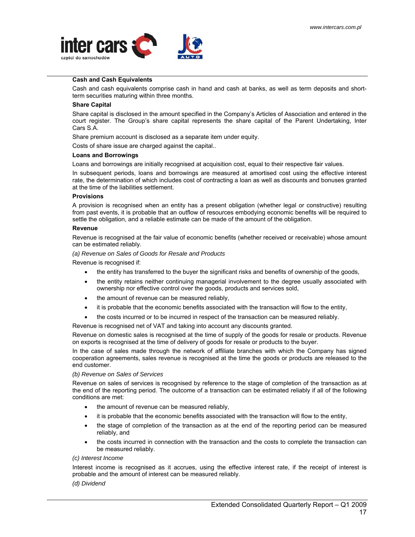

## **Cash and Cash Equivalents**

Cash and cash equivalents comprise cash in hand and cash at banks, as well as term deposits and shortterm securities maturing within three months.

#### **Share Capital**

Share capital is disclosed in the amount specified in the Company's Articles of Association and entered in the court register. The Group's share capital represents the share capital of the Parent Undertaking, Inter Cars S.A.

Share premium account is disclosed as a separate item under equity.

Costs of share issue are charged against the capital..

#### **Loans and Borrowings**

Loans and borrowings are initially recognised at acquisition cost, equal to their respective fair values.

In subsequent periods, loans and borrowings are measured at amortised cost using the effective interest rate, the determination of which includes cost of contracting a loan as well as discounts and bonuses granted at the time of the liabilities settlement.

#### **Provisions**

A provision is recognised when an entity has a present obligation (whether legal or constructive) resulting from past events, it is probable that an outflow of resources embodying economic benefits will be required to settle the obligation, and a reliable estimate can be made of the amount of the obligation.

#### **Revenue**

Revenue is recognised at the fair value of economic benefits (whether received or receivable) whose amount can be estimated reliably.

*(a) Revenue on Sales of Goods for Resale and Products* 

Revenue is recognised if:

- the entity has transferred to the buyer the significant risks and benefits of ownership of the goods,
- the entity retains neither continuing managerial involvement to the degree usually associated with ownership nor effective control over the goods, products and services sold,
- the amount of revenue can be measured reliably,
- it is probable that the economic benefits associated with the transaction will flow to the entity,
- the costs incurred or to be incurred in respect of the transaction can be measured reliably.

Revenue is recognised net of VAT and taking into account any discounts granted.

Revenue on domestic sales is recognised at the time of supply of the goods for resale or products. Revenue on exports is recognised at the time of delivery of goods for resale or products to the buyer.

In the case of sales made through the network of affiliate branches with which the Company has signed cooperation agreements, sales revenue is recognised at the time the goods or products are released to the end customer.

#### *(b) Revenue on Sales of Services*

Revenue on sales of services is recognised by reference to the stage of completion of the transaction as at the end of the reporting period. The outcome of a transaction can be estimated reliably if all of the following conditions are met:

- the amount of revenue can be measured reliably,
- it is probable that the economic benefits associated with the transaction will flow to the entity,
- the stage of completion of the transaction as at the end of the reporting period can be measured reliably, and
- the costs incurred in connection with the transaction and the costs to complete the transaction can be measured reliably.

## *(c) Interest Income*

Interest income is recognised as it accrues, using the effective interest rate, if the receipt of interest is probable and the amount of interest can be measured reliably.

#### *(d) Dividend*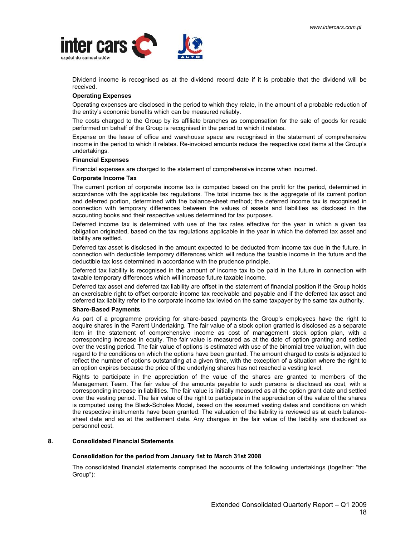<span id="page-17-0"></span>

Dividend income is recognised as at the dividend record date if it is probable that the dividend will be received.

## **Operating Expenses**

Operating expenses are disclosed in the period to which they relate, in the amount of a probable reduction of the entity's economic benefits which can be measured reliably.

The costs charged to the Group by its affiliate branches as compensation for the sale of goods for resale performed on behalf of the Group is recognised in the period to which it relates.

Expense on the lease of office and warehouse space are recognised in the statement of comprehensive income in the period to which it relates. Re-invoiced amounts reduce the respective cost items at the Group's undertakings.

#### **Financial Expenses**

Financial expenses are charged to the statement of comprehensive income when incurred.

#### **Corporate Income Tax**

The current portion of corporate income tax is computed based on the profit for the period, determined in accordance with the applicable tax regulations. The total income tax is the aggregate of its current portion and deferred portion, determined with the balance-sheet method; the deferred income tax is recognised in connection with temporary differences between the values of assets and liabilities as disclosed in the accounting books and their respective values determined for tax purposes.

Deferred income tax is determined with use of the tax rates effective for the year in which a given tax obligation originated, based on the tax regulations applicable in the year in which the deferred tax asset and liability are settled.

Deferred tax asset is disclosed in the amount expected to be deducted from income tax due in the future, in connection with deductible temporary differences which will reduce the taxable income in the future and the deductible tax loss determined in accordance with the prudence principle.

Deferred tax liability is recognised in the amount of income tax to be paid in the future in connection with taxable temporary differences which will increase future taxable income.

Deferred tax asset and deferred tax liability are offset in the statement of financial position if the Group holds an exercisable right to offset corporate income tax receivable and payable and if the deferred tax asset and deferred tax liability refer to the corporate income tax levied on the same taxpayer by the same tax authority.

#### **Share-Based Payments**

As part of a programme providing for share-based payments the Group's employees have the right to acquire shares in the Parent Undertaking. The fair value of a stock option granted is disclosed as a separate item in the statement of comprehensive income as cost of management stock option plan, with a corresponding increase in equity. The fair value is measured as at the date of option granting and settled over the vesting period. The fair value of options is estimated with use of the binomial tree valuation, with due regard to the conditions on which the options have been granted. The amount charged to costs is adjusted to reflect the number of options outstanding at a given time, with the exception of a situation where the right to an option expires because the price of the underlying shares has not reached a vesting level.

Rights to participate in the appreciation of the value of the shares are granted to members of the Management Team. The fair value of the amounts payable to such persons is disclosed as cost, with a corresponding increase in liabilities. The fair value is initially measured as at the option grant date and settled over the vesting period. The fair value of the right to participate in the appreciation of the value of the shares is computed using the Black-Scholes Model, based on the assumed vesting dates and conditions on which the respective instruments have been granted. The valuation of the liability is reviewed as at each balancesheet date and as at the settlement date. Any changes in the fair value of the liability are disclosed as personnel cost.

### **8. Consolidated Financial Statements**

### **Consolidation for the period from January 1st to March 31st 2008**

The consolidated financial statements comprised the accounts of the following undertakings (together: "the Group"):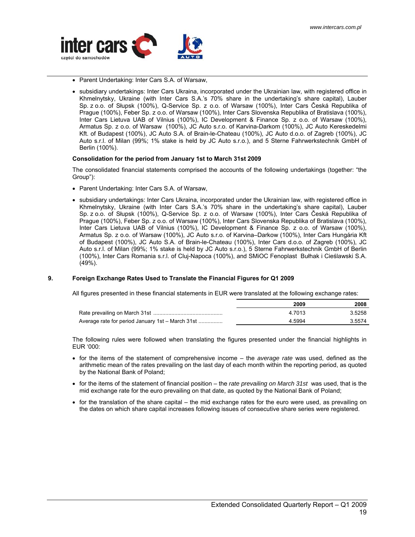<span id="page-18-0"></span>

- Parent Undertaking: Inter Cars S.A. of Warsaw,
- subsidiary undertakings: Inter Cars Ukraina, incorporated under the Ukrainian law, with registered office in Khmelnytsky, Ukraine (with Inter Cars S.A.'s 70% share in the undertaking's share capital), Lauber Sp. z o.o. of Słupsk (100%), Q-Service Sp. z o.o. of Warsaw (100%), Inter Cars Česká Republika of Prague (100%), Feber Sp. z o.o. of Warsaw (100%), Inter Cars Slovenska Republika of Bratislava (100%), Inter Cars Lietuva UAB of Vilnius (100%), IC Development & Finance Sp. z o.o. of Warsaw (100%), Armatus Sp. z o.o. of Warsaw (100%), JC Auto s.r.o. of Karvina-Darkom (100%), JC Auto Kereskedelmi Kft. of Budapest (100%), JC Auto S.A. of Brain-le-Chateau (100%), JC Auto d.o.o. of Zagreb (100%), JC Auto s.r.l. of Milan (99%; 1% stake is held by JC Auto s.r.o.), and 5 Sterne Fahrwerkstechnik GmbH of Berlin (100%).

#### **Consolidation for the period from January 1st to March 31st 2009**

The consolidated financial statements comprised the accounts of the following undertakings (together: "the Group"):

- Parent Undertaking: Inter Cars S.A. of Warsaw,
- subsidiary undertakings: Inter Cars Ukraina, incorporated under the Ukrainian law, with registered office in Khmelnytsky, Ukraine (with Inter Cars S.A.'s 70% share in the undertaking's share capital), Lauber Sp. z o.o. of Słupsk (100%), Q-Service Sp. z o.o. of Warsaw (100%), Inter Cars Česká Republika of Prague (100%), Feber Sp. z o.o. of Warsaw (100%), Inter Cars Slovenska Republika of Bratislava (100%), Inter Cars Lietuva UAB of Vilnius (100%), IC Development & Finance Sp. z o.o. of Warsaw (100%), Armatus Sp. z o.o. of Warsaw (100%), JC Auto s.r.o. of Karvina–Darkow (100%), Inter Cars Hungária Kft of Budapest (100%), JC Auto S.A. of Brain-le-Chateau (100%), Inter Cars d.o.o. of Zagreb (100%), JC Auto s.r.l. of Milan (99%; 1% stake is held by JC Auto s.r.o.), 5 Sterne Fahrwerkstechnik GmbH of Berlin (100%), Inter Cars Romania s.r.l. of Cluj-Napoca (100%), and SMiOC Fenoplast Bułhak i Cieślawski S.A. (49%).

### **9. Foreign Exchange Rates Used to Translate the Financial Figures for Q1 2009**

All figures presented in these financial statements in EUR were translated at the following exchange rates:

|                                                  | 2009   | 2008      |
|--------------------------------------------------|--------|-----------|
|                                                  | 4.7013 | 3.5258    |
| Average rate for period January 1st – March 31st | 4 5994 | 3 5 5 7 4 |

The following rules were followed when translating the figures presented under the financial highlights in EUR '000:

- for the items of the statement of comprehensive income the *average rate* was used, defined as the arithmetic mean of the rates prevailing on the last day of each month within the reporting period, as quoted by the National Bank of Poland;
- for the items of the statement of financial position the *rate prevailing on March 31st* was used, that is the mid exchange rate for the euro prevailing on that date, as quoted by the National Bank of Poland;
- for the translation of the share capital the mid exchange rates for the euro were used, as prevailing on the dates on which share capital increases following issues of consecutive share series were registered.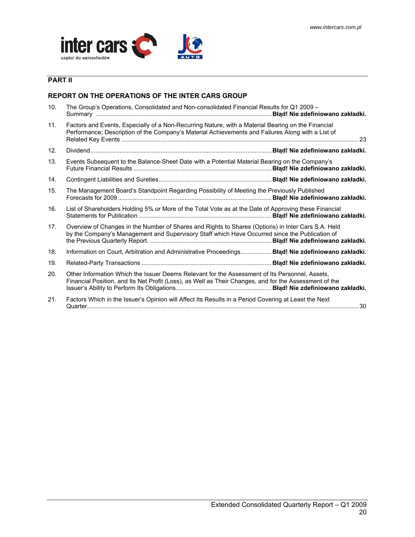

## **PART II**

## **REPORT ON THE OPERATIONS OF THE INTER CARS GROUP**

| 10.             | The Group's Operations, Consolidated and Non-consolidated Financial Results for Q1 2009 -                                                                                                                |  |
|-----------------|----------------------------------------------------------------------------------------------------------------------------------------------------------------------------------------------------------|--|
| 11.             | Factors and Events, Especially of a Non-Recurring Nature, with a Material Bearing on the Financial<br>Performance; Description of the Company's Material Achievements and Failures Along with a List of  |  |
| 12.             |                                                                                                                                                                                                          |  |
| 13.             | Events Subsequent to the Balance-Sheet Date with a Potential Material Bearing on the Company's                                                                                                           |  |
| 14.             |                                                                                                                                                                                                          |  |
| 15.             | The Management Board's Standpoint Regarding Possibility of Meeting the Previously Published                                                                                                              |  |
| 16.             | List of Shareholders Holding 5% or More of the Total Vote as at the Date of Approving these Financial                                                                                                    |  |
| 17 <sub>1</sub> | Overview of Changes in the Number of Shares and Rights to Shares (Options) in Inter Cars S.A. Held<br>by the Company's Management and Supervisory Staff which Have Occurred since the Publication of     |  |
| 18.             | Information on Court, Arbitration and Administrative Proceedings Blad! Nie zdefiniowano zakładki.                                                                                                        |  |
| 19.             |                                                                                                                                                                                                          |  |
| 20.             | Other Information Which the Issuer Deems Relevant for the Assessment of Its Personnel, Assets,<br>Financial Position, and Its Net Profit (Loss), as Well as Their Changes, and for the Assessment of the |  |
| 21.             | Factors Which in the Issuer's Opinion will Affect Its Results in a Period Covering at Least the Next                                                                                                     |  |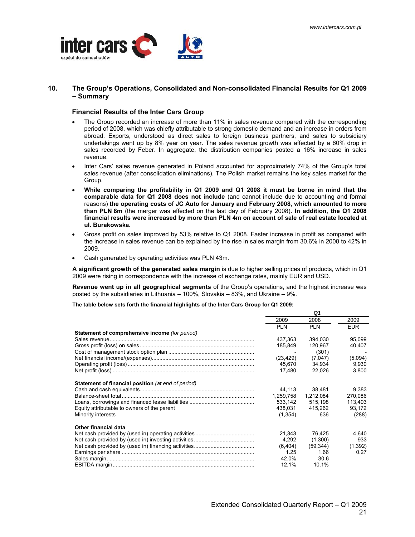

### **10. The Group's Operations, Consolidated and Non-consolidated Financial Results for Q1 2009 – Summary**

### **Financial Results of the Inter Cars Group**

- The Group recorded an increase of more than 11% in sales revenue compared with the corresponding period of 2008, which was chiefly attributable to strong domestic demand and an increase in orders from abroad. Exports, understood as direct sales to foreign business partners, and sales to subsidiary undertakings went up by 8% year on year. The sales revenue growth was affected by a 60% drop in sales recorded by Feber. In aggregate, the distribution companies posted a 16% increase in sales revenue.
- Inter Cars' sales revenue generated in Poland accounted for approximately 74% of the Group's total sales revenue (after consolidation eliminations). The Polish market remains the key sales market for the Group.
- **While comparing the profitability in Q1 2009 and Q1 2008 it must be borne in mind that the comparable data for Q1 2008 does not include** (and cannot include due to accounting and formal reasons) **the operating costs of JC Auto for January and February 2008, which amounted to more than PLN 8m** (the merger was effected on the last day of February 2008)**. In addition, the Q1 2008 financial results were increased by more than PLN 4m on account of sale of real estate located at ul. Burakowska.**
- Gross profit on sales improved by 53% relative to Q1 2008. Faster increase in profit as compared with the increase in sales revenue can be explained by the rise in sales margin from 30.6% in 2008 to 42% in 2009.
- Cash generated by operating activities was PLN 43m.

**A significant growth of the generated sales margin** is due to higher selling prices of products, which in Q1 2009 were rising in correspondence with the increase of exchange rates, mainly EUR and USD.

**Revenue went up in all geographical segments** of the Group's operations, and the highest increase was posted by the subsidiaries in Lithuania – 100%, Slovakia – 83%, and Ukraine – 9%.

**The table below sets forth the financial highlights of the Inter Cars Group for Q1 2009:**

|                                                                                                                                |                                                       | Q1                                                      |                                                |
|--------------------------------------------------------------------------------------------------------------------------------|-------------------------------------------------------|---------------------------------------------------------|------------------------------------------------|
|                                                                                                                                | 2009                                                  | 2008                                                    | 2009                                           |
|                                                                                                                                | <b>PLN</b>                                            | <b>PLN</b>                                              | <b>EUR</b>                                     |
| Statement of comprehensive income (for period)                                                                                 |                                                       |                                                         |                                                |
|                                                                                                                                | 437.363                                               | 394.030                                                 | 95.099                                         |
|                                                                                                                                | 185,849                                               | 120,967                                                 | 40,407                                         |
|                                                                                                                                |                                                       | (301)                                                   |                                                |
|                                                                                                                                | (23, 429)                                             | (7,047)                                                 | (5,094)                                        |
|                                                                                                                                | 45.670                                                | 34.934                                                  | 9,930                                          |
|                                                                                                                                | 17,480                                                | 22,026                                                  | 3,800                                          |
| <b>Statement of financial position</b> (at end of period)<br>Equity attributable to owners of the parent<br>Minority interests | 44.113<br>1,259,758<br>533.142<br>438,031<br>(1,354)  | 38.481<br>1,212,084<br>515.198<br>415,262<br>636        | 9.383<br>270,086<br>113.403<br>93,172<br>(288) |
| Other financial data                                                                                                           | 21.343<br>4.292<br>(6, 404)<br>1.25<br>42.0%<br>12.1% | 76,425<br>(1,300)<br>(59, 344)<br>1.66<br>30.6<br>10.1% | 4,640<br>933<br>(1, 392)<br>0.27               |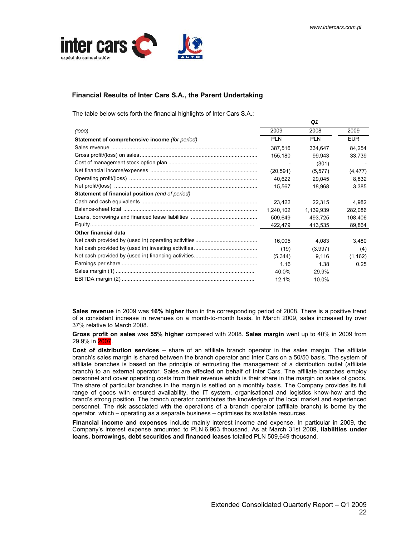

## **Financial Results of Inter Cars S.A., the Parent Undertaking**

The table below sets forth the financial highlights of Inter Cars S.A.:

|                                                        |                          | Q1         |            |
|--------------------------------------------------------|--------------------------|------------|------------|
| (000)                                                  | 2009                     | 2008       | 2009       |
| Statement of comprehensive income (for period)         | <b>PLN</b>               | <b>PLN</b> | <b>EUR</b> |
|                                                        | 387.516                  | 334,647    | 84,254     |
|                                                        | 155.180                  | 99.943     | 33,739     |
|                                                        | $\overline{\phantom{a}}$ | (301)      |            |
|                                                        | (20, 591)                | (5, 577)   | (4, 477)   |
|                                                        | 40,622                   | 29,045     | 8,832      |
|                                                        | 15,567                   | 18,968     | 3,385      |
| <b>Statement of financial position</b> (end of period) |                          |            |            |
|                                                        | 23.422                   | 22,315     | 4,982      |
|                                                        | 1,240,102                | 1,139,939  | 282,086    |
|                                                        | 509.649                  | 493,725    | 108,406    |
|                                                        | 422,479                  | 413,535    | 89,864     |
| <b>Other financial data</b>                            |                          |            |            |
|                                                        | 16.005                   | 4,083      | 3,480      |
|                                                        | (19)                     | (3,997)    | (4)        |
|                                                        | (5, 344)                 | 9,116      | (1, 162)   |
|                                                        | 1.16                     | 1.38       | 0.25       |
|                                                        | 40.0%                    | 29.9%      |            |
|                                                        | 12.1%                    | 10.0%      |            |

**Sales revenue** in 2009 was **16% higher** than in the corresponding period of 2008. There is a positive trend of a consistent increase in revenues on a month-to-month basis. In March 2009, sales increased by over 37% relative to March 2008.

**Gross profit on sales** was **55% higher** compared with 2008. **Sales margin** went up to 40% in 2009 from 29.9% in 2007.

**Cost of distribution services** – share of an affiliate branch operator in the sales margin. The affiliate branch's sales margin is shared between the branch operator and Inter Cars on a 50/50 basis. The system of affiliate branches is based on the principle of entrusting the management of a distribution outlet (affiliate branch) to an external operator. Sales are effected on behalf of Inter Cars. The affiliate branches employ personnel and cover operating costs from their revenue which is their share in the margin on sales of goods. The share of particular branches in the margin is settled on a monthly basis. The Company provides its full range of goods with ensured availability, the IT system, organisational and logistics know-how and the brand's strong position. The branch operator contributes the knowledge of the local market and experienced personnel. The risk associated with the operations of a branch operator (affiliate branch) is borne by the operator, which – operating as a separate business – optimises its available resources.

**Financial income and expenses** include mainly interest income and expense. In particular in 2009, the Company's interest expense amounted to PLN 6,963 thousand. As at March 31st 2009, **liabilities under loans, borrowings, debt securities and financed leases** totalled PLN 509,649 thousand.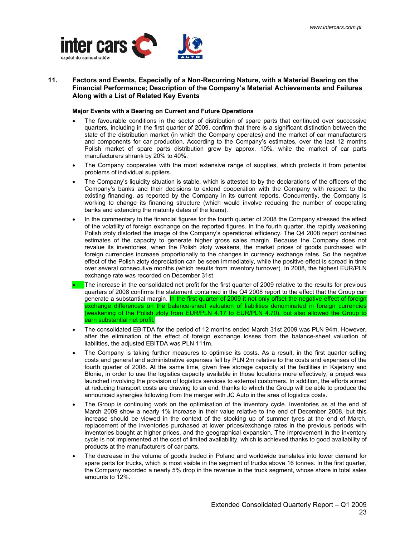<span id="page-22-0"></span>

## **11. Factors and Events, Especially of a Non-Recurring Nature, with a Material Bearing on the Financial Performance; Description of the Company's Material Achievements and Failures Along with a List of Related Key Events**

### **Major Events with a Bearing on Current and Future Operations**

- The favourable conditions in the sector of distribution of spare parts that continued over successive quarters, including in the first quarter of 2009, confirm that there is a significant distinction between the state of the distribution market (in which the Company operates) and the market of car manufacturers and components for car production. According to the Company's estimates, over the last 12 months Polish market of spare parts distribution grew by approx. 10%, while the market of car parts manufacturers shrank by 20% to 40%.
- The Company cooperates with the most extensive range of supplies, which protects it from potential problems of individual suppliers.
- The Company's liquidity situation is stable, which is attested to by the declarations of the officers of the Company's banks and their decisions to extend cooperation with the Company with respect to the existing financing, as reported by the Company in its current reports. Concurrently, the Company is working to change its financing structure (which would involve reducing the number of cooperating banks and extending the maturity dates of the loans).
- In the commentary to the financial figures for the fourth quarter of 2008 the Company stressed the effect of the volatility of foreign exchange on the reported figures. In the fourth quarter, the rapidly weakening Polish złoty distorted the image of the Company's operational efficiency. The Q4 2008 report contained estimates of the capacity to generate higher gross sales margin. Because the Company does not revalue its inventories, when the Polish złoty weakens, the market prices of goods purchased with foreign currencies increase proportionally to the changes in currency exchange rates. So the negative effect of the Polish złoty depreciation can be seen immediately, while the positive effect is spread in time over several consecutive months (which results from inventory turnover). In 2008, the highest EUR/PLN exchange rate was recorded on December 31st.
- The increase in the consolidated net profit for the first quarter of 2009 relative to the results for previous quarters of 2008 confirms the statement contained in the Q4 2008 report to the effect that the Group can generate a substantial margin. In the first quarter of 2009 it not only offset the negative effect of foreign exchange differences on the balance-sheet valuation of liabilities denominated in foreign currencies (weakening of the Polish złoty from EUR/PLN 4.17 to EUR/PLN 4.70), but also allowed the Group to earn substantial net profit.
- The consolidated EBITDA for the period of 12 months ended March 31st 2009 was PLN 94m. However, after the elimination of the effect of foreign exchange losses from the balance-sheet valuation of liabilities, the adjusted EBITDA was PLN 111m.
- The Company is taking further measures to optimise its costs. As a result, in the first quarter selling costs and general and administrative expenses fell by PLN 2m relative to the costs and expenses of the fourth quarter of 2008. At the same time, given free storage capacity at the facilities in Kajetany and Błonie, in order to use the logistics capacity available in those locations more effectively, a project was launched involving the provision of logistics services to external customers. In addition, the efforts aimed at reducing transport costs are drawing to an end, thanks to which the Group will be able to produce the announced synergies following from the merger with JC Auto in the area of logistics costs.
- The Group is continuing work on the optimisation of the inventory cycle. Inventories as at the end of March 2009 show a nearly 1% increase in their value relative to the end of December 2008, but this increase should be viewed in the context of the stocking up of summer tyres at the end of March, replacement of the inventories purchased at lower prices/exchange rates in the previous periods with inventories bought at higher prices, and the geographical expansion. The improvement in the inventory cycle is not implemented at the cost of limited availability, which is achieved thanks to good availability of products at the manufacturers of car parts.
- The decrease in the volume of goods traded in Poland and worldwide translates into lower demand for spare parts for trucks, which is most visible in the segment of trucks above 16 tonnes. In the first quarter, the Company recorded a nearly 5% drop in the revenue in the truck segment, whose share in total sales amounts to 12%.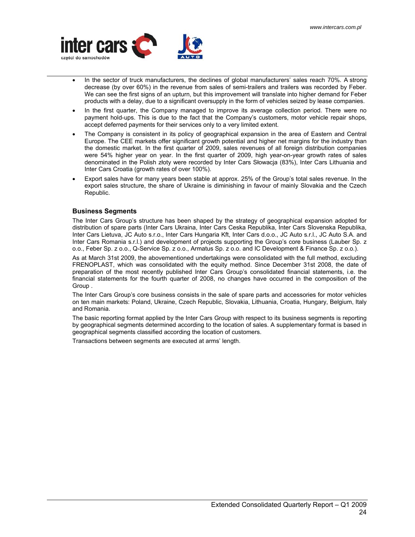

- In the sector of truck manufacturers, the declines of global manufacturers' sales reach 70%. A strong decrease (by over 60%) in the revenue from sales of semi-trailers and trailers was recorded by Feber. We can see the first signs of an upturn, but this improvement will translate into higher demand for Feber products with a delay, due to a significant oversupply in the form of vehicles seized by lease companies.
- In the first quarter, the Company managed to improve its average collection period. There were no payment hold-ups. This is due to the fact that the Company's customers, motor vehicle repair shops, accept deferred payments for their services only to a very limited extent.
- The Company is consistent in its policy of geographical expansion in the area of Eastern and Central Europe. The CEE markets offer significant growth potential and higher net margins for the industry than the domestic market. In the first quarter of 2009, sales revenues of all foreign distribution companies were 54% higher year on year. In the first quarter of 2009, high year-on-year growth rates of sales denominated in the Polish złoty were recorded by Inter Cars Słowacja (83%), Inter Cars Lithuania and Inter Cars Croatia (growth rates of over 100%).
- Export sales have for many years been stable at approx. 25% of the Group's total sales revenue. In the export sales structure, the share of Ukraine is diminishing in favour of mainly Slovakia and the Czech Republic.

## **Business Segments**

The Inter Cars Group's structure has been shaped by the strategy of geographical expansion adopted for distribution of spare parts (Inter Cars Ukraina, Inter Cars Ceska Republika, Inter Cars Slovenska Republika, Inter Cars Lietuva, JC Auto s.r.o., Inter Cars Hungaria Kft, Inter Cars d.o.o., JC Auto s.r.l., JC Auto S.A. and Inter Cars Romania s.r.l.) and development of projects supporting the Group's core business (Lauber Sp. z o.o., Feber Sp. z o.o., Q-Service Sp. z o.o., Armatus Sp. z o.o. and IC Development & Finance Sp. z o.o.).

As at March 31st 2009, the abovementioned undertakings were consolidated with the full method, excluding FRENOPLAST, which was consolidated with the equity method. Since December 31st 2008, the date of preparation of the most recently published Inter Cars Group's consolidated financial statements, i.e. the financial statements for the fourth quarter of 2008, no changes have occurred in the composition of the Group

The Inter Cars Group's core business consists in the sale of spare parts and accessories for motor vehicles on ten main markets: Poland, Ukraine, Czech Republic, Slovakia, Lithuania, Croatia, Hungary, Belgium, Italy and Romania.

The basic reporting format applied by the Inter Cars Group with respect to its business segments is reporting by geographical segments determined according to the location of sales. A supplementary format is based in geographical segments classified according the location of customers.

Transactions between segments are executed at arms' length.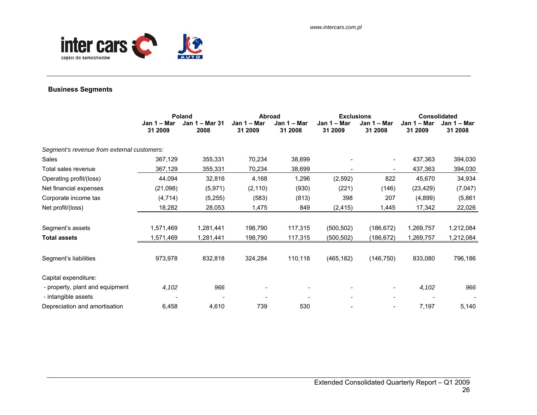

## **Business Segments**

|                                            | Poland                 |                        | <b>Abroad</b>          |                        | <b>Exclusions</b>      |                          | <b>Consolidated</b>    |                          |
|--------------------------------------------|------------------------|------------------------|------------------------|------------------------|------------------------|--------------------------|------------------------|--------------------------|
|                                            | Jan 1 – Mar<br>31 2009 | Jan 1 – Mar 31<br>2008 | Jan 1 - Mar<br>31 2009 | Jan 1 – Mar<br>31 2008 | Jan 1 - Mar<br>31 2009 | Jan 1 – Mar<br>31 2008   | Jan 1 – Mar<br>31 2009 | Jan $1 -$ Mar<br>31 2008 |
| Segment's revenue from external customers: |                        |                        |                        |                        |                        |                          |                        |                          |
| Sales                                      | 367,129                | 355,331                | 70,234                 | 38,699                 |                        | $\overline{\phantom{a}}$ | 437,363                | 394,030                  |
| Total sales revenue                        | 367,129                | 355,331                | 70,234                 | 38,699                 |                        | $\overline{\phantom{a}}$ | 437,363                | 394,030                  |
| Operating profit/(loss)                    | 44,094                 | 32,816                 | 4,168                  | 1,296                  | (2,592)                | 822                      | 45,670                 | 34,934                   |
| Net financial expenses                     | (21,098)               | (5,971)                | (2, 110)               | (930)                  | (221)                  | (146)                    | (23, 429)              | (7,047)                  |
| Corporate income tax                       | (4, 714)               | (5,255)                | (583)                  | (813)                  | 398                    | 207                      | (4,899)                | (5,861)                  |
| Net profit/(loss)                          | 18,282                 | 28,053                 | 1,475                  | 849                    | (2, 415)               | 1,445                    | 17,342                 | 22,026                   |
| Segment's assets                           | 1,571,469              | 1,281,441              | 198,790                | 117,315                | (500, 502)             | (186, 672)               | 1,269,757              | 1,212,084                |
| <b>Total assets</b>                        | 1,571,469              | 1,281,441              | 198,790                | 117,315                | (500, 502)             | (186,672)                | 1,269,757              | 1,212,084                |
| Segment's liabilities                      | 973,978                | 832,818                | 324,284                | 110,118                | (465, 182)             | (146, 750)               | 833,080                | 796,186                  |
| Capital expenditure:                       |                        |                        |                        |                        |                        |                          |                        |                          |
| - property, plant and equipment            | 4,102                  | 966                    |                        |                        |                        | $\overline{\phantom{a}}$ | 4,102                  | 966                      |
| - intangible assets                        |                        |                        |                        |                        |                        | $\overline{\phantom{a}}$ |                        |                          |
| Depreciation and amortisation              | 6,458                  | 4,610                  | 739                    | 530                    |                        |                          | 7,197                  | 5,140                    |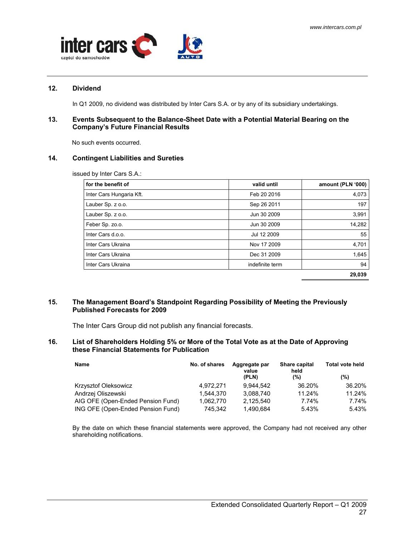

## **12. Dividend**

In Q1 2009, no dividend was distributed by Inter Cars S.A. or by any of its subsidiary undertakings.

## **13. Events Subsequent to the Balance-Sheet Date with a Potential Material Bearing on the Company's Future Financial Results**

No such events occurred.

## **14. Contingent Liabilities and Sureties**

issued by Inter Cars S.A.:

| for the benefit of       | valid until     | amount (PLN '000) |
|--------------------------|-----------------|-------------------|
| Inter Cars Hungaria Kft. | Feb 20 2016     | 4,073             |
| Lauber Sp. z o.o.        | Sep 26 2011     | 197               |
| Lauber Sp. z o.o.        | Jun 30 2009     | 3,991             |
| Feber Sp. zo.o.          | Jun 30 2009     | 14,282            |
| Inter Cars d.o.o.        | Jul 12 2009     | 55                |
| Inter Cars Ukraina       | Nov 17 2009     | 4,701             |
| Inter Cars Ukraina       | Dec 31 2009     | 1,645             |
| Inter Cars Ukraina       | indefinite term | 94                |
|                          |                 | 29.039            |

## **15. The Management Board's Standpoint Regarding Possibility of Meeting the Previously Published Forecasts for 2009**

The Inter Cars Group did not publish any financial forecasts.

## **16. List of Shareholders Holding 5% or More of the Total Vote as at the Date of Approving these Financial Statements for Publication**

| Name                              | No. of shares | Aggregate par<br>value<br>(PLN) | Share capital<br>held<br>(%) | <b>Total vote held</b><br>(%) |
|-----------------------------------|---------------|---------------------------------|------------------------------|-------------------------------|
| Krzysztof Oleksowicz              | 4.972.271     | 9.944.542                       | 36.20%                       | 36.20%                        |
| Andrzej Oliszewski                | 1.544.370     | 3.088.740                       | 11.24%                       | 11.24%                        |
| AIG OFE (Open-Ended Pension Fund) | 1.062.770     | 2.125.540                       | 7.74%                        | 7.74%                         |
| ING OFE (Open-Ended Pension Fund) | 745.342       | 1,490,684                       | 5.43%                        | 5.43%                         |

By the date on which these financial statements were approved, the Company had not received any other shareholding notifications.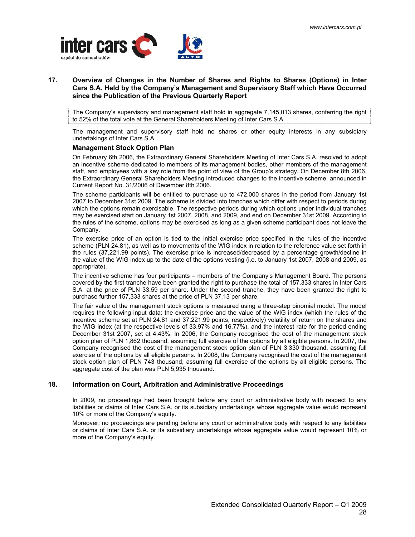

## **17. Overview of Changes in the Number of Shares and Rights to Shares (Options) in Inter Cars S.A. Held by the Company's Management and Supervisory Staff which Have Occurred since the Publication of the Previous Quarterly Report**

The Company's supervisory and management staff hold in aggregate 7,145,013 shares, conferring the right to 52% of the total vote at the General Shareholders Meeting of Inter Cars S.A.

The management and supervisory staff hold no shares or other equity interests in any subsidiary undertakings of Inter Cars S.A.

### **Management Stock Option Plan**

On February 6th 2006, the Extraordinary General Shareholders Meeting of Inter Cars S.A. resolved to adopt an incentive scheme dedicated to members of its management bodies, other members of the management staff, and employees with a key role from the point of view of the Group's strategy. On December 8th 2006, the Extraordinary General Shareholders Meeting introduced changes to the incentive scheme, announced in Current Report No. 31/2006 of December 8th 2006.

The scheme participants will be entitled to purchase up to 472,000 shares in the period from January 1st 2007 to December 31st 2009. The scheme is divided into tranches which differ with respect to periods during which the options remain exercisable. The respective periods during which options under individual tranches may be exercised start on January 1st 2007, 2008, and 2009, and end on December 31st 2009. According to the rules of the scheme, options may be exercised as long as a given scheme participant does not leave the Company.

The exercise price of an option is tied to the initial exercise price specified in the rules of the incentive scheme (PLN 24.81), as well as to movements of the WIG index in relation to the reference value set forth in the rules (37,221.99 points). The exercise price is increased/decreased by a percentage growth/decline in the value of the WIG index up to the date of the options vesting (i.e. to January 1st 2007, 2008 and 2009, as appropriate).

The incentive scheme has four participants – members of the Company's Management Board. The persons covered by the first tranche have been granted the right to purchase the total of 157,333 shares in Inter Cars S.A. at the price of PLN 33.59 per share. Under the second tranche, they have been granted the right to purchase further 157,333 shares at the price of PLN 37.13 per share.

The fair value of the management stock options is measured using a three-step binomial model. The model requires the following input data: the exercise price and the value of the WIG index (which the rules of the incentive scheme set at PLN 24.81 and 37,221.99 points, respectively) volatility of return on the shares and the WIG index (at the respective levels of 33.97% and 16.77%), and the interest rate for the period ending December 31st 2007, set at 4.43%. In 2006, the Company recognised the cost of the management stock option plan of PLN 1,862 thousand, assuming full exercise of the options by all eligible persons. In 2007, the Company recognised the cost of the management stock option plan of PLN 3,330 thousand, assuming full exercise of the options by all eligible persons. In 2008, the Company recognised the cost of the management stock option plan of PLN 743 thousand, assuming full exercise of the options by all eligible persons. The aggregate cost of the plan was PLN 5,935 thousand.

## **18. Information on Court, Arbitration and Administrative Proceedings**

In 2009, no proceedings had been brought before any court or administrative body with respect to any liabilities or claims of Inter Cars S.A. or its subsidiary undertakings whose aggregate value would represent 10% or more of the Company's equity.

Moreover, no proceedings are pending before any court or administrative body with respect to any liabilities or claims of Inter Cars S.A. or its subsidiary undertakings whose aggregate value would represent 10% or more of the Company's equity.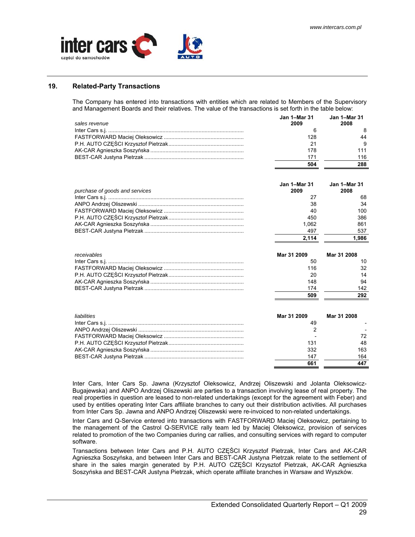

## **19. Related-Party Transactions**

The Company has entered into transactions with entities which are related to Members of the Supervisory and Management Boards and their relatives. The value of the transactions is set forth in the table below:

| sales revenue                  | Jan 1-Mar 31<br>2009 | <b>Jan 1-Mar 31</b><br>2008 |
|--------------------------------|----------------------|-----------------------------|
|                                | 6                    | 8                           |
|                                | 128                  | 44                          |
|                                | 21                   | 9                           |
|                                | 178                  | 111                         |
|                                | 171                  | 116                         |
|                                | 504                  | 288                         |
| purchase of goods and services | Jan 1-Mar 31<br>2009 | <b>Jan 1-Mar 31</b><br>2008 |
|                                | 27                   | 68                          |
|                                | 38                   | 34                          |
|                                | 40                   | 100                         |
|                                | 450                  | 386                         |
|                                | 1,062                | 861                         |
|                                | 497                  | 537                         |
|                                | 2,114                | 1,986                       |
|                                |                      |                             |
| receivables                    | Mar 31 2009          | Mar 31 2008                 |
|                                | 50                   | 10                          |
|                                | 116                  | 32                          |
|                                | 20                   | 14                          |
|                                | 148                  | 94                          |
|                                | 174                  | 142                         |
|                                | 509                  | 292                         |
|                                |                      |                             |
| liabilities                    | Mar 31 2009          | Mar 31 2008                 |
|                                | 49                   |                             |
|                                | 2                    |                             |
|                                |                      | 72                          |
|                                | 131                  | 48                          |
|                                | 332                  | 163                         |
|                                |                      |                             |
|                                | 147                  | 164                         |
|                                | 661                  | 447                         |

Inter Cars, Inter Cars Sp. Jawna (Krzysztof Oleksowicz, Andrzej Oliszewski and Jolanta Oleksowicz-Bugajewska) and ANPO Andrzej Oliszewski are parties to a transaction involving lease of real property. The real properties in question are leased to non-related undertakings (except for the agreement with Feber) and used by entities operating Inter Cars affiliate branches to carry out their distribution activities. All purchases from Inter Cars Sp. Jawna and ANPO Andrzej Oliszewski were re-invoiced to non-related undertakings.

 Inter Cars and Q-Service entered into transactions with FASTFORWARD Maciej Oleksowicz, pertaining to the management of the Castrol Q-SERVICE rally team led by Maciej Oleksowicz, provision of services related to promotion of the two Companies during car rallies, and consulting services with regard to computer software.

Transactions between Inter Cars and P.H. AUTO CZĘŚCI Krzysztof Pietrzak, Inter Cars and AK-CAR Agnieszka Soszyńska, and between Inter Cars and BEST-CAR Justyna Pietrzak relate to the settlement of share in the sales margin generated by P.H. AUTO CZĘŚCI Krzysztof Pietrzak, AK-CAR Agnieszka Soszyńska and BEST-CAR Justyna Pietrzak, which operate affiliate branches in Warsaw and Wyszków.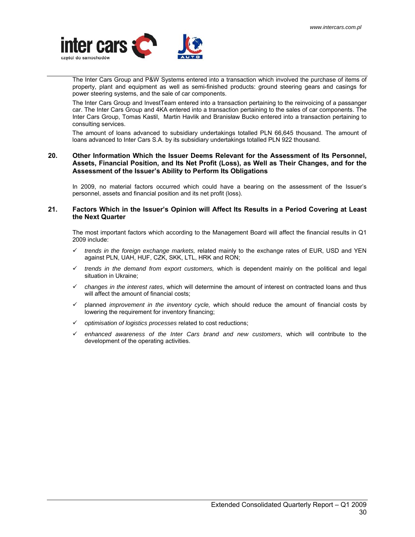<span id="page-29-0"></span>

The Inter Cars Group and P&W Systems entered into a transaction which involved the purchase of items of property, plant and equipment as well as semi-finished products: ground steering gears and casings for power steering systems, and the sale of car components.

The Inter Cars Group and InvestTeam entered into a transaction pertaining to the reinvoicing of a passanger car. The Inter Cars Group and 4KA entered into a transaction pertaining to the sales of car components. The Inter Cars Group, Tomas Kastil, Martin Havlik and Branisław Bucko entered into a transaction pertaining to consulting services.

The amount of loans advanced to subsidiary undertakings totalled PLN 66,645 thousand. The amount of loans advanced to Inter Cars S.A. by its subsidiary undertakings totalled PLN 922 thousand.

### **20. Other Information Which the Issuer Deems Relevant for the Assessment of Its Personnel, Assets, Financial Position, and Its Net Profit (Loss), as Well as Their Changes, and for the Assessment of the Issuer's Ability to Perform Its Obligations**

In 2009, no material factors occurred which could have a bearing on the assessment of the Issuer's personnel, assets and financial position and its net profit (loss).

### **21. Factors Which in the Issuer's Opinion will Affect Its Results in a Period Covering at Least the Next Quarter**

The most important factors which according to the Management Board will affect the financial results in Q1 2009 include:

- 9 *trends in the foreign exchange markets,* related mainly to the exchange rates of EUR, USD and YEN against PLN, UAH, HUF, CZK, SKK, LTL, HRK and RON;
- 9 *trends in the demand from export customers,* which is dependent mainly on the political and legal situation in Ukraine;
- 9 *changes in the interest rates*, which will determine the amount of interest on contracted loans and thus will affect the amount of financial costs;
- 9 planned *improvement in the inventory cycle,* which should reduce the amount of financial costs by lowering the requirement for inventory financing;
- 9 *optimisation of logistics processes* related to cost reductions;
- $\checkmark$  enhanced awareness of the Inter Cars brand and new customers, which will contribute to the development of the operating activities.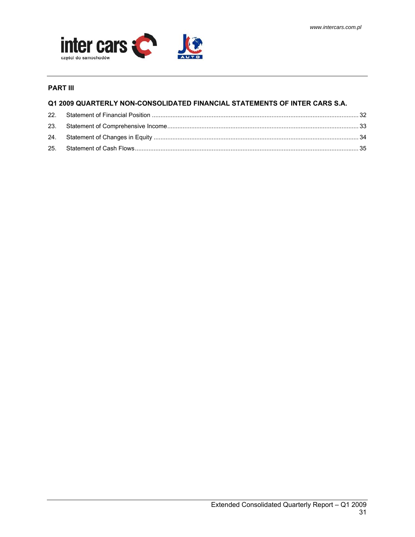

## **PART III**

## **Q1 2009 QUARTERLY NON-CONSOLIDATED FINANCIAL STATEMENTS OF INTER CARS S.A.**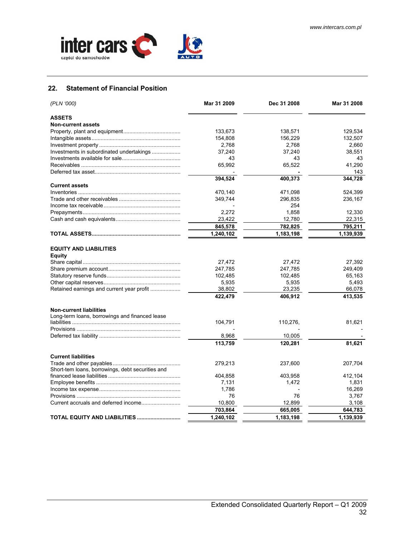<span id="page-31-0"></span>

## **22. Statement of Financial Position**

| (PLN '000)                                       | Mar 31 2009 | Dec 31 2008 | Mar 31 2008 |
|--------------------------------------------------|-------------|-------------|-------------|
| <b>ASSETS</b>                                    |             |             |             |
| <b>Non-current assets</b>                        |             |             |             |
|                                                  | 133,673     | 138,571     | 129.534     |
|                                                  | 154,808     | 156,229     | 132,507     |
|                                                  | 2,768       | 2,768       | 2,660       |
| Investments in subordinated undertakings         | 37,240      | 37,240      | 38,551      |
|                                                  | 43          | 43          | 43          |
|                                                  | 65,992      | 65,522      | 41,290      |
|                                                  |             |             | 143         |
|                                                  | 394,524     | 400,373     | 344,728     |
| <b>Current assets</b>                            |             |             |             |
|                                                  | 470,140     | 471,098     | 524,399     |
|                                                  | 349,744     | 296,835     | 236,167     |
|                                                  |             | 254         |             |
|                                                  | 2,272       | 1,858       | 12,330      |
|                                                  | 23,422      | 12,780      | 22,315      |
|                                                  | 845,578     | 782,825     | 795,211     |
|                                                  | 1,240,102   | 1,183,198   | 1,139,939   |
|                                                  |             |             |             |
| <b>EQUITY AND LIABILITIES</b><br>Equity          |             |             |             |
|                                                  | 27,472      | 27,472      | 27,392      |
|                                                  | 247,785     | 247,785     | 249,409     |
|                                                  | 102,485     | 102,485     | 65,163      |
|                                                  | 5,935       | 5,935       | 5,493       |
| Retained earnings and current year profit        | 38,802      | 23,235      | 66,078      |
|                                                  | 422,479     | 406,912     | 413,535     |
|                                                  |             |             |             |
| <b>Non-current liabilities</b>                   |             |             |             |
| Long-term loans, borrowings and financed lease   |             |             |             |
|                                                  | 104,791     | 110,276,    | 81,621      |
|                                                  |             |             |             |
|                                                  | 8,968       | 10,005      |             |
|                                                  | 113,759     | 120,281     | 81,621      |
|                                                  |             |             |             |
| <b>Current liabilities</b>                       |             |             |             |
|                                                  | 279,213     | 237,600     | 207,704     |
| Short-tem loans, borrowings, debt securities and |             |             |             |
|                                                  | 404,858     | 403,958     | 412.104     |
|                                                  | 7,131       | 1,472       | 1,831       |
|                                                  | 1,786       |             | 16,269      |
|                                                  | 76          | 76          | 3,767       |
|                                                  | 10,800      | 12,899      | 3,108       |
|                                                  | 703,864     | 665,005     | 644,783     |
| TOTAL EQUITY AND LIABILITIES                     | 1.240.102   | 1,183,198   | 1,139,939   |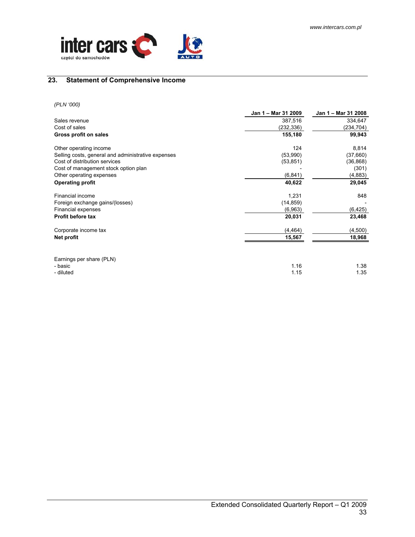<span id="page-32-0"></span>

## **23. Statement of Comprehensive Income**

*(PLN '000)* 

|                                                    | Jan 1 – Mar 31 2009 | Jan 1 - Mar 31 2008 |
|----------------------------------------------------|---------------------|---------------------|
| Sales revenue                                      | 387,516             | 334,647             |
| Cost of sales                                      | (232,336)           | (234,704)           |
| Gross profit on sales                              | 155,180             | 99,943              |
| Other operating income                             | 124                 | 8,814               |
| Selling costs, general and administrative expenses | (53,990)            | (37,660)            |
| Cost of distribution services                      | (53, 851)           | (36, 868)           |
| Cost of management stock option plan               |                     | (301)               |
| Other operating expenses                           | (6, 841)            | (4,883)             |
| <b>Operating profit</b>                            | 40,622              | 29,045              |
| Financial income                                   | 1,231               | 848                 |
| Foreign exchange gains/(losses)                    | (14, 859)           |                     |
| Financial expenses                                 | (6,963)             | (6, 425)            |
| Profit before tax                                  | 20,031              | 23,468              |
| Corporate income tax                               | (4, 464)            | (4,500)             |
| Net profit                                         | 15,567              | 18,968              |
| Earnings per share (PLN)                           |                     |                     |
| - basic                                            | 1.16                | 1.38                |
| - diluted                                          | 1.15                | 1.35                |
|                                                    |                     |                     |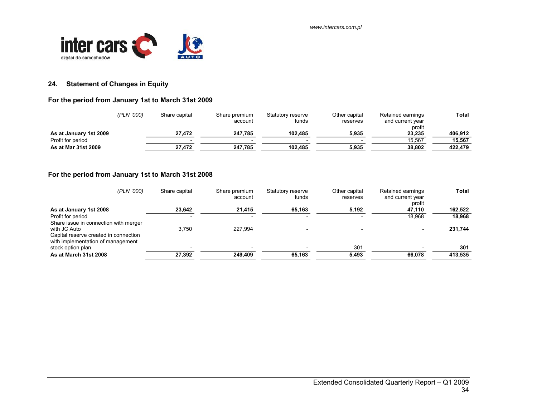

## **24. Statement of Changes in Equity**

## **For the period from January 1st to March 31st 2009**

|                        | (PLN '000) | Share capital | Share premium<br>account | Statutory reserve<br>funds | Other capital<br>reserves | Retained earnings<br>and current year | <b>Total</b> |
|------------------------|------------|---------------|--------------------------|----------------------------|---------------------------|---------------------------------------|--------------|
| As at January 1st 2009 |            | 27.472        | 247.785                  | 102.485                    | 5.935                     | profit<br>23.235                      | 406.912      |
| Profit for period      |            |               |                          |                            |                           | 15.567                                | 15.567       |
| As at Mar 31st 2009    |            | 27.472        | 247.785                  | 102.485                    | 5.935                     | 38.802                                | 422.479      |

## **For the period from January 1st to March 31st 2008**

<span id="page-33-0"></span>

| (PLN '000)                                                                                 | Share capital | Share premium<br>account | Statutory reserve<br>funds | Other capital<br>reserves | Retained earnings<br>and current year<br>profit | <b>Total</b> |
|--------------------------------------------------------------------------------------------|---------------|--------------------------|----------------------------|---------------------------|-------------------------------------------------|--------------|
| As at January 1st 2008                                                                     | 23,642        | 21,415                   | 65,163                     | 5,192                     | 47,110                                          | 162,522      |
| Profit for period<br>Share issue in connection with merger                                 |               |                          |                            |                           | 18.968                                          | 18.968       |
| with JC Auto<br>Capital reserve created in connection<br>with implementation of management | 3.750         | 227.994                  |                            |                           |                                                 | 231,744      |
| stock option plan                                                                          |               |                          |                            | 301                       |                                                 | 301          |
| As at March 31st 2008                                                                      | 27,392        | 249,409                  | 65,163                     | 5,493                     | 66,078                                          | 413,535      |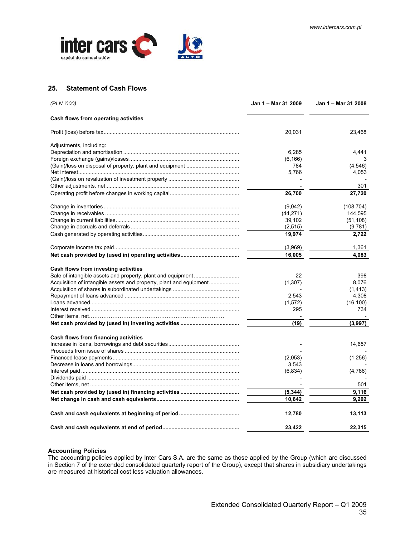<span id="page-34-0"></span>

### **25. Statement of Cash Flows**

| (PLN '000)                                                         | Jan 1 – Mar 31 2009 | Jan 1 – Mar 31 2008 |
|--------------------------------------------------------------------|---------------------|---------------------|
| Cash flows from operating activities                               |                     |                     |
|                                                                    | 20,031              | 23,468              |
| Adjustments, including:                                            |                     |                     |
|                                                                    | 6,285               | 4.441               |
|                                                                    | (6, 166)            | 3                   |
|                                                                    | 784                 | (4,546)             |
|                                                                    | 5,766               | 4,053               |
|                                                                    |                     |                     |
|                                                                    |                     | 301                 |
|                                                                    | 26,700              | 27,720              |
|                                                                    | (9,042)             | (108, 704)          |
|                                                                    | (44, 271)           | 144,595             |
|                                                                    | 39,102              | (51, 108)           |
|                                                                    | (2, 515)            | (9,781)             |
|                                                                    | 19,974              | 2,722               |
|                                                                    | (3,969)             | 1,361               |
|                                                                    | 16,005              | 4.083               |
|                                                                    |                     |                     |
| Cash flows from investing activities                               |                     |                     |
|                                                                    | 22                  | 398                 |
| Acquisition of intangible assets and property, plant and equipment | (1,307)             | 8,076               |
|                                                                    |                     | (1, 413)            |
|                                                                    | 2,543               | 4,308               |
|                                                                    | (1,572)             | (16, 100)           |
|                                                                    | 295                 | 734                 |
|                                                                    |                     |                     |
|                                                                    | (19)                | (3,997)             |
| Cash flows from financing activities                               |                     |                     |
|                                                                    |                     | 14,657              |
|                                                                    |                     |                     |
|                                                                    | (2,053)             | (1,256)             |
|                                                                    | 3,543               |                     |
|                                                                    | (6, 834)            | (4,786)             |
|                                                                    |                     |                     |
|                                                                    |                     | 501                 |
|                                                                    | (5, 344)            | 9,116               |
|                                                                    | 10.642              | 9.202               |
|                                                                    | 12,780              | 13,113              |
|                                                                    | 23,422              | 22,315              |

## **Accounting Policies**

The accounting policies applied by Inter Cars S.A. are the same as those applied by the Group (which are discussed in Section 7 of the extended consolidated quarterly report of the Group), except that shares in subsidiary undertakings are measured at historical cost less valuation allowances.